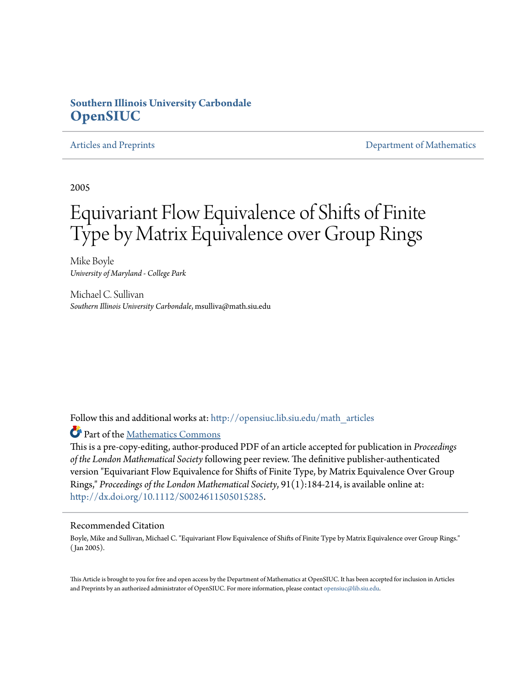# **Southern Illinois University Carbondale [OpenSIUC](http://opensiuc.lib.siu.edu?utm_source=opensiuc.lib.siu.edu%2Fmath_articles%2F79&utm_medium=PDF&utm_campaign=PDFCoverPages)**

[Articles and Preprints](http://opensiuc.lib.siu.edu/math_articles?utm_source=opensiuc.lib.siu.edu%2Fmath_articles%2F79&utm_medium=PDF&utm_campaign=PDFCoverPages) **[Department of Mathematics](http://opensiuc.lib.siu.edu/math?utm_source=opensiuc.lib.siu.edu%2Fmath_articles%2F79&utm_medium=PDF&utm_campaign=PDFCoverPages)** Department of Mathematics

2005

# Equivariant Flow Equivalence of Shifts of Finite Type by Matrix Equivalence over Group Rings

Mike Boyle *University of Maryland - College Park*

Michael C. Sullivan *Southern Illinois University Carbondale*, msulliva@math.siu.edu

Follow this and additional works at: [http://opensiuc.lib.siu.edu/math\\_articles](http://opensiuc.lib.siu.edu/math_articles?utm_source=opensiuc.lib.siu.edu%2Fmath_articles%2F79&utm_medium=PDF&utm_campaign=PDFCoverPages)

Part of the [Mathematics Commons](http://network.bepress.com/hgg/discipline/174?utm_source=opensiuc.lib.siu.edu%2Fmath_articles%2F79&utm_medium=PDF&utm_campaign=PDFCoverPages)

This is a pre-copy-editing, author-produced PDF of an article accepted for publication in *Proceedings of the London Mathematical Society*following peer review. The definitive publisher-authenticated version "Equivariant Flow Equivalence for Shifts of Finite Type, by Matrix Equivalence Over Group Rings," *Proceedings of the London Mathematical Society*, 91(1):184-214, is available online at: <http://dx.doi.org/10.1112/S0024611505015285>.

#### Recommended Citation

Boyle, Mike and Sullivan, Michael C. "Equivariant Flow Equivalence of Shifts of Finite Type by Matrix Equivalence over Group Rings." ( Jan 2005).

This Article is brought to you for free and open access by the Department of Mathematics at OpenSIUC. It has been accepted for inclusion in Articles and Preprints by an authorized administrator of OpenSIUC. For more information, please contact [opensiuc@lib.siu.edu](mailto:opensiuc@lib.siu.edu).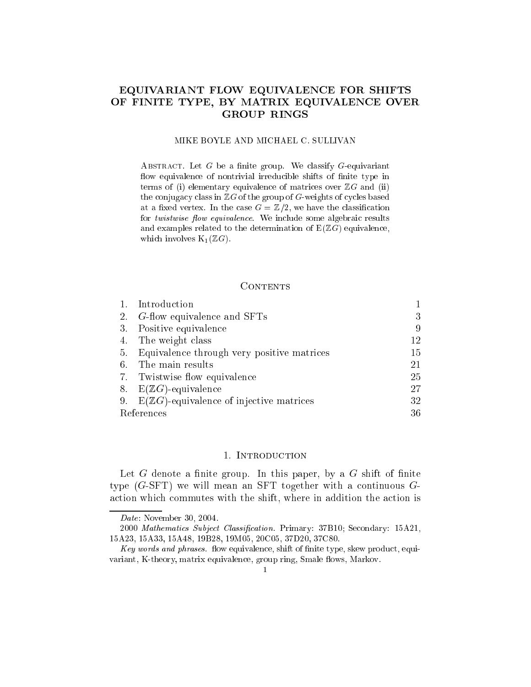## EQUIVARIANT FLOW EQUIVALENCE FOR SHIFTS OF FINITE TYPE, BY MATRIX EQUIVALENCE OVER GROUP RINGS

#### MIKE BOYLE AND MICHAEL C. SULLIVAN

ABSTRACT. Let  $G$  be a finite group. We classify  $G$ -equivariant flow equivalence of nontrivial irreducible shifts of finite type in terms of (i) elementary equivalence of matrices over  $\mathbb{Z}G$  and (ii) the conjugacy class in  $\mathbb{Z}G$  of the group of G-weights of cycles based at a fixed vertex. In the case  $G = \mathbb{Z}/2$ , we have the classification for twistwise flow equivalence. We include some algebraic results and examples related to the determination of  $E(\mathbb{Z}G)$  equivalence, which involves  $K_1(\mathbb{Z}G)$ .

#### CONTENTS

|            | Introduction                                  |     |
|------------|-----------------------------------------------|-----|
| 2.         | <i>G</i> -flow equivalence and SFTs           | 3   |
|            | 3. Positive equivalence                       | 9   |
|            | 4. The weight class                           | 12  |
| 5.         | Equivalence through very positive matrices    | 15  |
| 6.         | The main results                              | 21  |
|            | 7. Twistwise flow equivalence                 | 25  |
|            | 8. $E(ZG)$ -equivalence                       | 27  |
|            | 9. $E(ZG)$ -equivalence of injective matrices | 32  |
| References |                                               | 36. |

#### 1. INTRODUCTION

Let  $G$  denote a finite group. In this paper, by a  $G$  shift of finite type  $(G-**SET**)$  we will mean an SFT together with a continuous  $G$ action which commutes with the shift, where in addition the action is

Date: November 30, 2004.

<sup>2000</sup> Mathematics Subject Classification. Primary: 37B10; Secondary: 15A21, 15A23, 15A33, 15A48, 19B28, 19M05, 20C05, 37D20, 37C80.

Key words and phrases. flow equivalence, shift of finite type, skew product, equivariant, K-theory, matrix equivalence, group ring, Smale flows, Markov.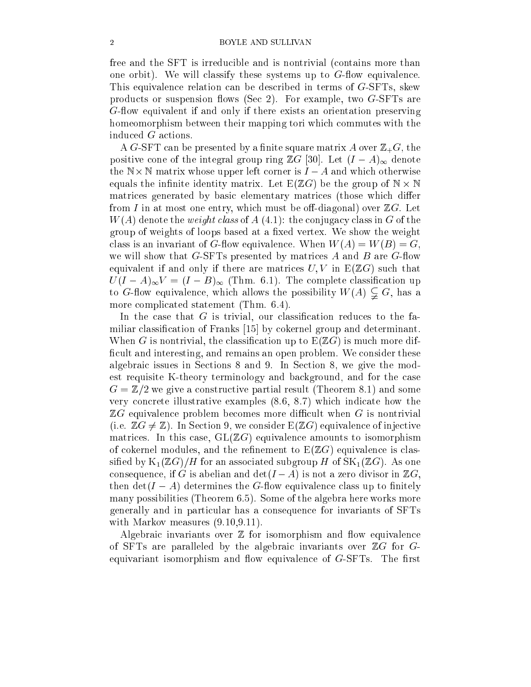free and the SFT is irreducible and is nontrivial (contains more than one orbit). We will classify these systems up to  $G$ -flow equivalence. This equivalence relation can be described in terms of G-SFTs, skew products or suspension flows (Sec 2). For example, two  $G$ -SFTs are G-flow equivalent if and only if there exists an orientation preserving homeomorphism between their mapping tori which commutes with the induced G actions.

A G-SFT can be presented by a finite square matrix A over  $\mathbb{Z}_+ G$ , the positive cone of the integral group ring  $\mathbb{Z}G$  [30]. Let  $(I - A)_{\infty}$  denote the N - N - N matrix whose upper left corner is I and whose upper left corner is I and which out the United St equals the interest in the interest  $\mu$  matrix. Let  $\mu$  be the group of  $\mu$  is the  $\mu$ matrices generated by basic elementary matrices (those which differ from I in at most one entry, which must be off-diagonal) over  $\mathbb{Z}G$ . Let  $W(A)$  denote the *weight class* of  $A(4.1)$ : the conjugacy class in G of the group of weights of loops based at a fixed vertex. We show the weight class is an invariant of G-flow equivalence. When  $W(A) = W(B) = G$ , we will show that  $G$ -SFTs presented by matrices A and B are  $G$ -flow equivalent if and only if there are matrices  $U, V$  in  $E(\mathbb{Z}G)$  such that  $U(I - A)_{\infty}V = (I - B)_{\infty}$  (Thm. 6.1). The complete classification up to G-flow equivalence, which allows the possibility  $W(A) \subsetneq G$ , has a more complicated statement (Thm. 6.4).

In the case that  $G$  is trivial, our classification reduces to the familiar classification of Franks [15] by cokernel group and determinant. When G is nontrivial, the classification up to  $E(ZG)$  is much more difficult and interesting, and remains an open problem. We consider these algebraic issues in Sections 8 and 9. In Section 8, we give the modest requisite K-theory terminology and background, and for the case  $G=\mathbb{Z}/2$  we give a constructive partial result (Theorem 8.1) and some very concrete illustrative examples (8.6, 8.7) which indicate how the  $\mathbb{Z}G$  equivalence problem becomes more difficult when G is nontrivial (i.e.  $\mathbb{Z}G \neq \mathbb{Z}$ ). In Section 9, we consider  $E(\mathbb{Z}G)$  equivalence of injective matrices. In this case,  $GL(\mathbb{Z}G)$  equivalence amounts to isomorphism of cokernel modules, and the refinement to  $E(ZG)$  equivalence is classified by  $K_1(\mathbb{Z}G)/H$  for an associated subgroup H of  $SK_1(\mathbb{Z}G)$ . As one consequence, if G is abelian and  $\det(I - A)$  is not a zero divisor in  $\mathbb{Z}G$ , then  $\det(I - A)$  determines the G-flow equivalence class up to finitely many possibilities (Theorem 6.5). Some of the algebra here works more generally and in particular has a consequence for invariants of SFTs with Markov measures  $(9.10, 9.11)$ .

Algebraic invariants over  $\mathbb Z$  for isomorphism and flow equivalence of SFTs are paralleled by the algebraic invariants over  $\mathbb{Z}G$  for  $G$ equivariant isomorphism and flow equivalence of  $G$ -SFTs. The first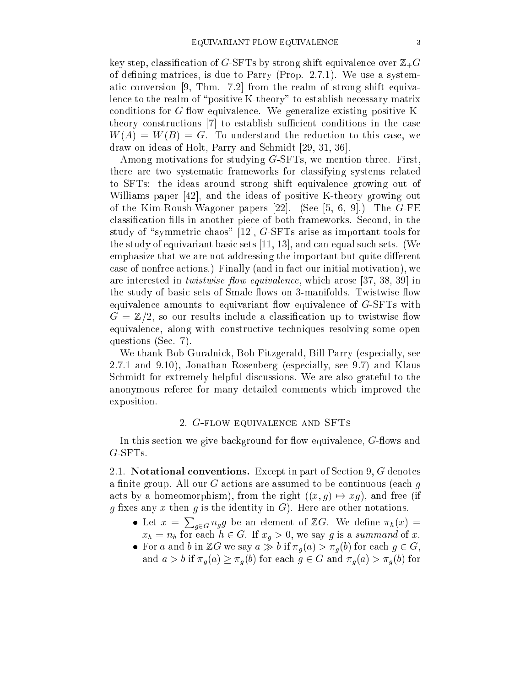key step, classification of G-SFTs by strong shift equivalence over  $\mathbb{Z}_+G$ of defining matrices, is due to Parry (Prop. 2.7.1). We use a systematic conversion [9, Thm. 7.2] from the realm of strong shift equivalence to the realm of "positive K-theory" to establish necessary matrix conditions for  $G$ -flow equivalence. We generalize existing positive Ktheory constructions [7] to establish sufficient conditions in the case  $W(A) = W(B) = G$ . To understand the reduction to this case, we draw on ideas of Holt, Parry and Schmidt [29, 31, 36].

Among motivations for studying G-SFTs, we mention three. First, there are two systematic frameworks for classifying systems related to SFTs: the ideas around strong shift equivalence growing out of Williams paper [42], and the ideas of positive K-theory growing out of the Kim-Roush-Wagoner papers [22]. (See [5, 6, 9].) The G-FE classification fills in another piece of both frameworks. Second, in the study of "symmetric chaos"  $[12]$ , G-SFTs arise as important tools for the study of equivariant basic sets [11, 13], and can equal such sets. (We emphasize that we are not addressing the important but quite different case of nonfree actions.) Finally (and in fact our initial motivation), we are interested in *twistwise flow equivalence*, which arose [37, 38, 39] in the study of basic sets of Smale flows on 3-manifolds. Twistwise flow equivalence amounts to equivariant flow equivalence of  $G$ -SFTs with  $G = \mathbb{Z}/2$ , so our results include a classification up to twistwise flow equivalence, along with constructive techniques resolving some open questions (Sec. 7).

We thank Bob Guralnick, Bob Fitzgerald, Bill Parry (especially, see 2.7.1 and 9.10), Jonathan Rosenberg (especially, see 9.7) and Klaus Schmidt for extremely helpful discussions. We are also grateful to the anonymous referee for many detailed comments which improved the exposition.

#### 2. G-flow equivalence and SFTs

In this section we give background for flow equivalence,  $G$ -flows and G-SFTs.

2.1. Notational conventions. Except in part of Section 9, G denotes a finite group. All our G actions are assumed to be continuous (each  $q$ acts by a homeomorphism), from the right  $((x, g) \mapsto xg)$ , and free (if g fixes any x then g is the identity in  $G$ ). Here are other notations.

- Let  $x = \sum_{g \in G} n_g g$  be an element of  $\mathbb{Z}G$ . We define  $\pi_h(x) =$  $x_h = n_h$  for each  $h \in G$ . If  $x_g > 0$ , we say g is a summand of x.
- For a second box  $\alpha$  in  $\alpha$  in  $\alpha$  is a given given given given given given given given groups  $\alpha$ and  $a > b$  if  $\pi_q(a) \geq \pi_q(b)$  for each  $g \in G$  and  $\pi_q(a) > \pi_q(b)$  for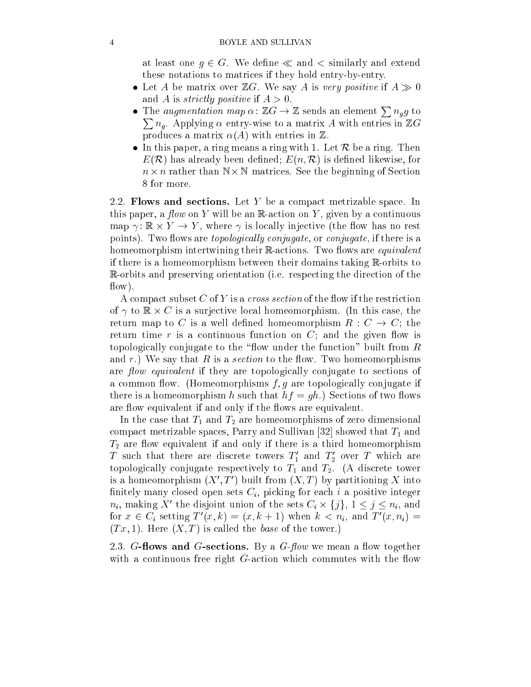#### 4 BOYLE AND SULLIVAN

at least one  $g \in G$ . We define  $\ll$  and  $\lt$  similarly and extend these notations to matrices if they hold entry-by-entry.

- $L$ e matrix over  $L$  and  $L$  is very positive if  $\mathcal{L}$  is very positive if  $\mathcal{L}$  is very positive if  $\mathcal{L}$ and A is *strictly positive* if  $A > 0$ .
- The *augmentation map*  $\alpha \colon \mathbb{Z} G \to \mathbb{Z}$  sends an element  $\sum n_{g} g$  to <sup>P</sup> ng . Applying entry-wise to a matrix  $\mu$  with entries in ZGG and the second component  $\mu$  with  $\mu$ produces a matrix  $\alpha(A)$  with entries in  $\mathbb Z$ .
- In this paper, a ring means a ring with 1. Let  $\mathcal{L}$  be a ring with 1. Let  $\mathcal{L}$  be a ring. Then be a ring with 1. Let  $\mathcal{L}$  be a ring. Then be a ring with 1. Let  $\mathcal{L}$  be a ring. Then be a ring with 1. Let  $\$  $E(\mathcal{R})$  has already been defined;  $E(n,\mathcal{R})$  is defined likewise, for n - n rather than <sup>N</sup> - <sup>N</sup> matrices. See the beginning of Section 8 for more.

2.2. Flows and sections. Let  $Y$  be a compact metrizable space. In this paper, a *flow* on Y will be an R-action on Y, given by a continuous map , , where  $\alpha$  , where , where , and  $\alpha$  is a significant , where  $\alpha$  rest and  $\alpha$ points). Two flows are *topologically conjugate*, or *conjugate*, if there is a homeomorphism intertwining their Reactions. Two flows are *equivalent* if there is a homeomorphism between their domains taking  $\mathbb{R}$ -orbits to R-orbits and preserving orientation (i.e. respecting the direction of the  $flow)$ .

A compact subset C of Y is a *cross section* of the flow if the restriction of to R - C is a surjective local homeomorphism. (In this case, the case, the case, the case, the case, the cas return map to C is a well defined homeomorphism  $R: C \to C$ ; the return time  $r$  is a continuous function on  $C$ ; and the given flow is topologically conjugate to the "flow under the function" built from  $R$ and r.) We say that R is a section to the flow. Two homeomorphisms are flow equivalent if they are topologically conjugate to sections of a common flow. (Homeomorphisms  $f, g$  are topologically conjugate if there is a homeomorphism h such that  $hf = gh$ .) Sections of two flows are flow equivalent if and only if the flows are equivalent.

In the case that  $T_1$  and  $T_2$  are homeomorphisms of zero dimensional compact metrizable spaces, Parry and Sullivan [32] showed that  $T_1$  and  $T_2$  are flow equivalent if and only if there is a third homeomorphism I such that there are discrete towers  $I_1$  and  $I_2$  over I which are topologically conjugate respectively to  $T_1$  and  $T_2$ . (A discrete tower is a homeomorphism ( $\Lambda$ ),  $I$  ) built from ( $\Lambda$ ,  $I$ ) by partitioning  $\Lambda$  into finitely many closed open sets  $C_i$ , picking for each i a positive integer  $n_i$ , making  $\Lambda$  -the disjoint union of the sets  $C_i \times \{j\}$ ,  $1 \leq j \leq n_i$ , and for  $x \in C_i$  setting  $T(x, \kappa) = (x, \kappa + 1)$  when  $\kappa < n_i$ , and  $T(x, n_i) =$  $(Tx, 1)$ . Here  $(X, T)$  is called the *base* of the tower.)

2.3. G-flows and G-sections. By a  $G$ -flow we mean a flow together with a continuous free right  $G$ -action which commutes with the flow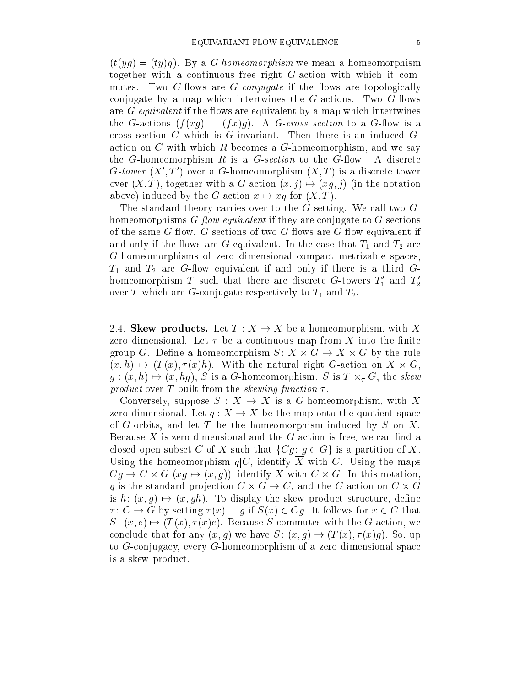$(t(yq) = (ty)q)$ . By a *G-homeomorphism* we mean a homeomorphism together with a continuous free right G-action with which it commutes. Two  $G$ -flows are  $G$ -conjugate if the flows are topologically conjugate by a map which intertwines the  $G$ -actions. Two  $G$ -flows are  $G$ -equivalent if the flows are equivalent by a map which intertwines the G-actions  $(f(xg) = (fx)g)$ . A G-cross section to a G-flow is a cross section  $C$  which is  $G$ -invariant. Then there is an induced  $G$ action on  $C$  with which  $R$  becomes a  $G$ -homeomorphism, and we say the G-homeomorphism  $R$  is a G-section to the G-flow. A discrete G-tower ( $\Lambda$ , T ) over a G-homeomorphism ( $\Lambda$ , T ) is a discrete tower over  $(X, T)$ , together with a G-action  $(x, j) \mapsto (xg, j)$  (in the notation above) induced by the G action  $x \mapsto xg$  for  $(X, T)$ .

The standard theory carries over to the G setting. We call two  $G$ homeomorphisms  $G$ -flow equivalent if they are conjugate to  $G$ -sections of the same  $G$ -flow.  $G$ -sections of two  $G$ -flows are  $G$ -flow equivalent if and only if the flows are G-equivalent. In the case that  $T_1$  and  $T_2$  are G-homeomorphisms of zero dimensional compact metrizable spaces,  $T_1$  and  $T_2$  are G-flow equivalent if and only if there is a third Gnomeomorphism T such that there are discrete G-towers  $T_1$  and  $T_2$ over T which are G-conjugate respectively to  $T_1$  and  $T_2$ .

2.4. Skew products. Let  $T: X \to X$  be a homeomorphism, with X zero dimensional. Let  $\tau$  be a continuous map from X into the finite  $\alpha$  . On the rule and the rule and  $\alpha$  is a set of  $\alpha$  -  $\alpha$  -  $\alpha$  -  $\alpha$  -  $\alpha$  -  $\alpha$  -  $\alpha$  -  $\alpha$  -  $\alpha$  $\{x_i\}_{i=1}^N$  ,  $\{x_i\}_{i=1}^N$  ,  $\{x_i\}_{i=1}^N$  ,  $\{x_i\}_{i=1}^N$  ,  $\{x_i\}_{i=1}^N$  ,  $\{x_i\}_{i=1}^N$  ,  $\{x_i\}_{i=1}^N$  $g:(x, h) \mapsto (x, hg), S$  is a G-homeomorphism. S is  $T \ltimes_{\tau} G$ , the skew product over T built from the skewing function .

Conversely, suppose  $S: X \to X$  is a G-homeomorphism, with X zero dimensional. Let  $q: X \to \overline{X}$  be the map onto the quotient space of G-orbits, and let T be the homeomorphism induced by  $S$  on  $X$ . Because  $X$  is zero dimensional and the  $G$  action is free, we can find a closed open subset C of X such that  $\{Cg : g \in G\}$  is a partition of X. Using the homeomorphism  $q|C$ , identify  $\overline{X}$  with C. Using the maps Cg ! C - G (xg 7! (x; g)), identify X with C - G. In this notation, q is the standard projection C - C, and the G action on C action on C - C is  $h: (x, g) \mapsto (x, gh)$ . To display the skew product structure, define  $\tau: C \to G$  by setting  $\tau(x) = g$  if  $S(x) \in Cg$ . It follows for  $x \in C$  that  $S: (x, e) \mapsto (T(x), \tau(x)e)$ . Because S commutes with the G action, we conclude that for any  $(x, g)$  we have  $S: (x, g) \to (T(x), \tau(x)g)$ . So, up to G-conjugacy, every G-homeomorphism of a zero dimensional space is a skew product.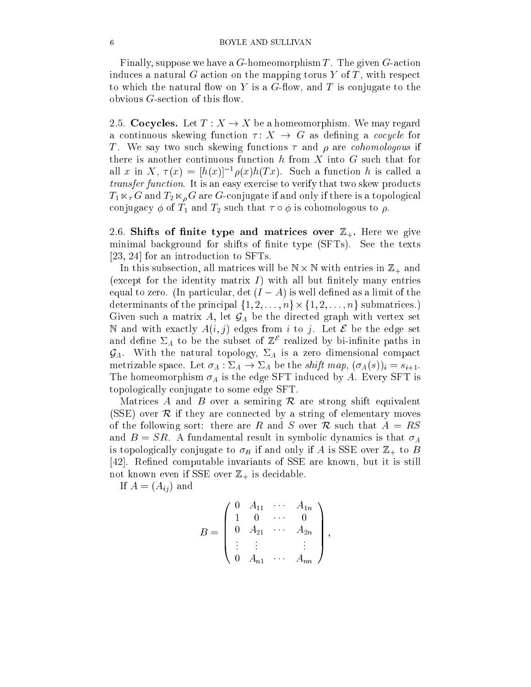#### 6 BOYLE AND SULLIVAN

Finally, suppose we have a  $G$ -homeomorphism T. The given  $G$ -action induces a natural G action on the mapping torus Y of T, with respect to which the natural flow on Y is a G-flow, and T is conjugate to the obvious  $G$ -section of this flow.

2.5. Cocycles. Let  $T : X \to X$  be a homeomorphism. We may regard a continuous skewing function  $\tau: X \to G$  as defining a *cocycle* for T. We say two such skewing functions  $\tau$  and  $\rho$  are *cohomologous* if there is another continuous function  $h$  from  $X$  into  $G$  such that for all x in  $\Lambda$ ,  $\tau(x) = |h(x)|^{-1} \rho(x)h(T(x))$ . Such a function h is called a transfer function. It is an easy exercise to verify that two skew products  $T_1 \ltimes_{\tau} G$  and  $T_2 \ltimes_{\rho} G$  are G-conjugate if and only if there is a topological conjugacy  $\phi$  of  $T_1$  and  $T_2$  such that  $\tau \circ \phi$  is cohomologous to  $\rho$ .

2.6. Shifts of finite type and matrices over  $\mathbb{Z}_+$ . Here we give minimal background for shifts of finite type (SFTs). See the texts [23, 24] for an introduction to SFTs.

in this subsection, all matrices will be N will be N  $\cdot$  and  $\cdot$  and  $\cdot$  and  $\cdot$  and  $\cdot$  and  $\cdot$ (except for the identity matrix  $I$ ) with all but finitely many entries equal to zero. (In particular,  $\det(I - A)$  is well defined as a limit of the determinants of the principal f1; 2; : : : ; ng- f1; 2; : : : ; n<sup>g</sup> submatrices.) Given such a matrix A, let  $\mathcal{G}_A$  be the directed graph with vertex set N and with exactly  $A(i, j)$  edges from i to j. Let  $\mathcal E$  be the edge set and denne  $\mathcal{Z}_A$  to be the subset of  $\mathbb Z$  -realized by bi-infinite paths in  $\mathcal{G}_A$ . With the natural topology,  $\Sigma_A$  is a zero dimensional compact metrizable space. Let  $\sigma_A : \Sigma_A \to \Sigma_A$  be the *shift map*,  $(\sigma_A(s))_i = s_{i+1}$ . The homeomorphism  $\sigma_A$  is the edge SFT induced by A. Every SFT is topologically conjugate to some edge SFT.

Matrices A and B over a semiring  $\mathcal R$  are strong shift equivalent (SSE) over  $\mathcal R$  if they are connected by a string of elementary moves of the following sort: there are R and S over R such that  $A = RS$ and  $B = SR$ . A fundamental result in symbolic dynamics is that  $\sigma_A$ is topologically conjugate to  $\sigma_B$  if and only if A is SSE over  $\mathbb{Z}_+$  to B [42]. Refined computable invariants of SSE are known, but it is still not known even if SSE over  $\mathbb{Z}_+$  is decidable.

If  $A = (A_{ij})$  and

$$
B = \begin{pmatrix} 0 & A_{11} & \cdots & A_{1n} \\ 1 & 0 & \cdots & 0 \\ 0 & A_{21} & \cdots & A_{2n} \\ \vdots & \vdots & & \vdots \\ 0 & A_{n1} & \cdots & A_{nn} \end{pmatrix}
$$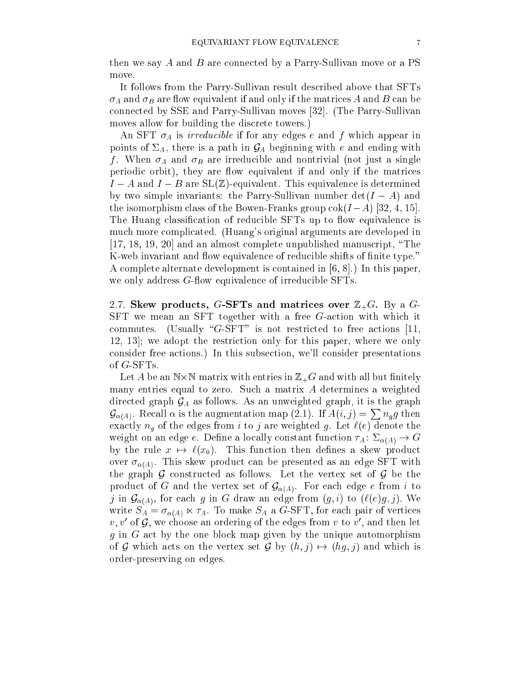then we say A and B are connected by a Parry-Sullivan move or a PS move.

It follows from the Parry-Sullivan result described above that SFTs  $\sigma_A$  and  $\sigma_B$  are flow equivalent if and only if the matrices A and B can be connected by SSE and Parry-Sullivan moves [32]. (The Parry-Sullivan moves allow for building the discrete towers.)

An SFT  $\sigma_A$  is *irreducible* if for any edges e and f which appear in points of  $\Sigma_A$ , there is a path in  $\mathcal{G}_A$  beginning with e and ending with f. When  $\sigma_A$  and  $\sigma_B$  are irreducible and nontrivial (not just a single periodic orbit), they are flow equivalent if and only if the matrices  $I - A$  and  $I - B$  are  $SL(\mathbb{Z})$ -equivalent. This equivalence is determined by two simple invariants: the Parry-Sullivan number  $\det(I - A)$  and the isomorphism class of the Bowen-Franks group  $\cot(I-A)$  [32, 4, 15]. The Huang classification of reducible SFTs up to flow equivalence is much more complicated. (Huang's original arguments are developed in [17, 18, 19, 20] and an almost complete unpublished manuscript, "The K-web invariant and flow equivalence of reducible shifts of finite type." A complete alternate development is contained in [6, 8].) In this paper, we only address  $G$ -flow equivalence of irreducible SFTs.

2.7. Skew products, G-SFTs and matrices over  $\mathbb{Z}_+G$ . By a G-SFT we mean an SFT together with a free G-action with which it commutes. (Usually "G-SFT" is not restricted to free actions [11, 12, 13]; we adopt the restriction only for this paper, where we only consider free actions.) In this subsection, we'll consider presentations of G-SFTs.

 $-$  and a construction of  $\mathcal{L}_{\mathcal{A}}$  and with all but all but  $\mathcal{L}_{\mathcal{A}}$  and with all but  $\mathcal{L}_{\mathcal{A}}$ many entries equal to zero. Such a matrix A determines a weighted directed graph  $\mathcal{G}_A$  as follows. As an unweighted graph, it is the graph  $\mathcal{G}_{\alpha(A)}$ . Recall  $\alpha$  is the augmentation map (2.1). If  $A(i, j) = \sum n_{g} g$  then exactly  $n_g$  of the edges from i to j are weighted g. Let  $\ell(e)$  denote the weight on an edge e. Define a locally constant function  $\tau_A : \Sigma_{\alpha(A)} \to G$ by the rule  $x \mapsto \ell(x_0)$ . This function then defines a skew product over  $\sigma_{\alpha(A)}$ . This skew product can be presented as an edge SFT with the graph  $\mathcal G$  constructed as follows. Let the vertex set of  $\mathcal G$  be the product of G and the vertex set of  $\mathcal{G}_{\alpha(A)}$ . For each edge e from i to j in  $\mathcal{G}_{\alpha(A)}$ , for each g in G draw an edge from  $(g, i)$  to  $(\ell(e)g, j)$ . We write  $S_A = \sigma_{\alpha(A)} \ltimes \tau_A$ . To make  $S_A$  a G-SFT, for each pair of vertices  $v, v$  of  $\mathcal{G}$ , we choose an ordering of the edges from  $v$  to  $v$  , and then fet  $g$  in  $G$  act by the one block map given by the unique automorphism of G which acts on the vertex set G by  $(h, j) \mapsto (hg, j)$  and which is order-preserving on edges.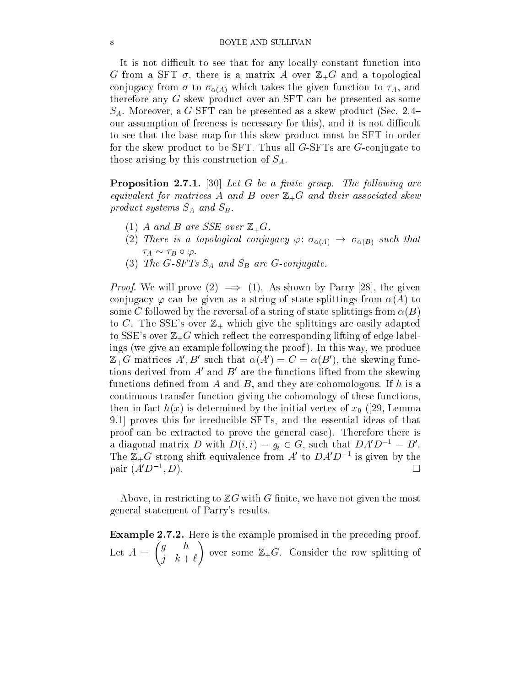#### 8 BOYLE AND SULLIVAN

It is not difficult to see that for any locally constant function into G from a SFT  $\sigma$ , there is a matrix A over  $\mathbb{Z}_+G$  and a topological conjugacy from  $\sigma$  to  $\sigma_{\alpha(A)}$  which takes the given function to  $\tau_A$ , and therefore any G skew product over an SFT can be presented as some  $S_A$ . Moreover, a G-SFT can be presented as a skew product (Sec. 2.4– our assumption of freeness is necessary for this), and it is not difficult to see that the base map for this skew product must be SFT in order for the skew product to be SFT. Thus all G-SFTs are G-conjugate to those arising by this construction of  $S_A$ .

**Proposition 2.7.1.** [30] Let G be a finite group. The following are equivalent for matrices A and B over Z+G and their associated skew and the  $p$  is seen so systems so  $\mu$  and  $\mu$  subsets  $\mu$  .

- (1) A and B are SSE over  $\mathbb{Z}_+G$ .
- (2) There is a topological conjugacy  $\varphi: \sigma_{\alpha(A)} \to \sigma_{\alpha(B)}$  such that  $\tau_A \sim \tau_B \circ \varphi$ .
- (3) The G-SFTs  $S_A$  and  $S_B$  are G-conjugate.

Proof. We will prove (2) =) (1). As shown by Parry [28], the given conjugacy  $\varphi$  can be given as a string of state splittings from  $\alpha(A)$  to some C followed by the reversal of a string of state splittings from  $\alpha(B)$ to C. The SSE's over  $\mathbb{Z}_+$  which give the splittings are easily adapted to SSE's over  $\mathbb{Z}_+ G$  which reflect the corresponding lifting of edge labelings (we give an example following the proof ). In this way, we produce  $\mathbb{Z}_+$ G matrices A, D such that  $\alpha(A) = C = \alpha(D)$ , the skewing functions derived from  $A$  and  $D$  are the functions inted from the skewing functions defined from A and B, and they are cohomologous. If  $h$  is a continuous transfer function giving the cohomology of these functions, then in fact  $h(x)$  is determined by the initial vertex of  $x_0$  ([29, Lemma 9.1] proves this for irreducible SFTs, and the essential ideas of that proof can be extracted to prove the general case). Therefore there is a diagonal matrix D with  $D(i, i) = g_i \in G$ , such that  $DA D^{-1} = B$ . The  $\mathbb{Z}_+G$  strong shift equivalence from A to  $DAD$  T is given by the pair  $(A'D^{-1}, D)$ .  $\Box$ ; D).

Above, in restricting to  $\mathbb{Z}G$  with G finite, we have not given the most general statement of Parry's results.

Example 2.7.2. Here is the example promised in the preceding proof. Let  $A = \begin{bmatrix} 2 & 1 \end{bmatrix}$   $j \left( k + \ell \right)$  and some  $\ell$  is consider the row splitting of  $\sim$   $\sim$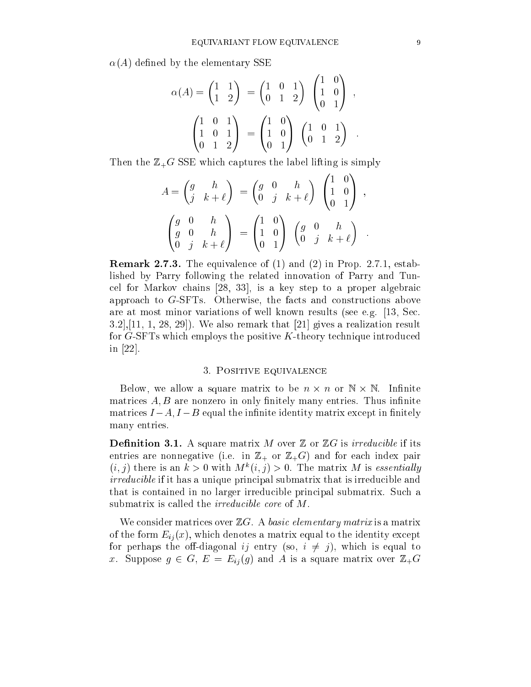$\alpha(A)$  defined by the elementary SSE

$$
\alpha(A) = \begin{pmatrix} 1 & 1 \\ 1 & 2 \end{pmatrix} = \begin{pmatrix} 1 & 0 & 1 \\ 0 & 1 & 2 \end{pmatrix} \begin{pmatrix} 1 & 0 \\ 1 & 0 \\ 0 & 1 \end{pmatrix} ,
$$

$$
\begin{pmatrix} 1 & 0 & 1 \\ 1 & 0 & 1 \\ 0 & 1 & 2 \end{pmatrix} = \begin{pmatrix} 1 & 0 \\ 1 & 0 \\ 0 & 1 \end{pmatrix} \begin{pmatrix} 1 & 0 & 1 \\ 0 & 1 & 2 \end{pmatrix}
$$

Then the  $\mathbb{Z}_+G$  SSE which captures the label lifting is simply

$$
A = \begin{pmatrix} g & h \\ j & k+\ell \end{pmatrix} = \begin{pmatrix} g & 0 & h \\ 0 & j & k+\ell \end{pmatrix} \begin{pmatrix} 1 & 0 \\ 1 & 0 \\ 0 & 1 \end{pmatrix} ,
$$

$$
\begin{pmatrix} g & 0 & h \\ g & 0 & h \\ 0 & j & k+\ell \end{pmatrix} = \begin{pmatrix} 1 & 0 \\ 1 & 0 \\ 0 & 1 \end{pmatrix} \begin{pmatrix} g & 0 & h \\ 0 & j & k+\ell \end{pmatrix}
$$

Remark 2.7.3. The equivalence of (1) and (2) in Prop. 2.7.1, established by Parry following the related innovation of Parry and Tuncel for Markov chains [28, 33], is a key step to a proper algebraic approach to G-SFTs. Otherwise, the facts and constructions above are at most minor variations of well known results (see e.g. [13, Sec.  $3.2$ ,  $[11, 1, 28, 29]$ . We also remark that  $[21]$  gives a realization result for  $G$ -SFTs which employs the positive  $K$ -theory technique introduced in [22].

#### 3. Positive equivalence

external we allow a square matrix to be not be not be not be not allow to the matrices  $A, B$  are nonzero in only finitely many entries. Thus infinite matrices  $I - A$ ,  $I - B$  equal the infinite identity matrix except in finitely many entries.

**Definition 3.1.** A square matrix M over  $\mathbb{Z}$  or  $\mathbb{Z}G$  is *irreducible* if its entries are nonnegative (i.e. in  $\mathbb{Z}_+$  or  $\mathbb{Z}_+$ G) and for each index pair  $(i, j)$  there is an  $k > 0$  with  $M^*(i, j) > 0$ . The matrix M is essentially irreducible if it has a unique principal submatrix that is irreducible and that is contained in no larger irreducible principal submatrix. Such a submatrix is called the *irreducible core* of M.

We consider matrices over  $\mathbb{Z}G$ . A basic elementary matrix is a matrix of the form  $E_{ij}(x)$ , which denotes a matrix equal to the identity except for perhaps the off-diagonal ij entry (so,  $i \neq j$ ), which is equal to x. Suppose  $g \in G$ ,  $E = E_{ij}(g)$  and A is a square matrix over  $\mathbb{Z}_+G$ 

<sup>1</sup>

 $\sim$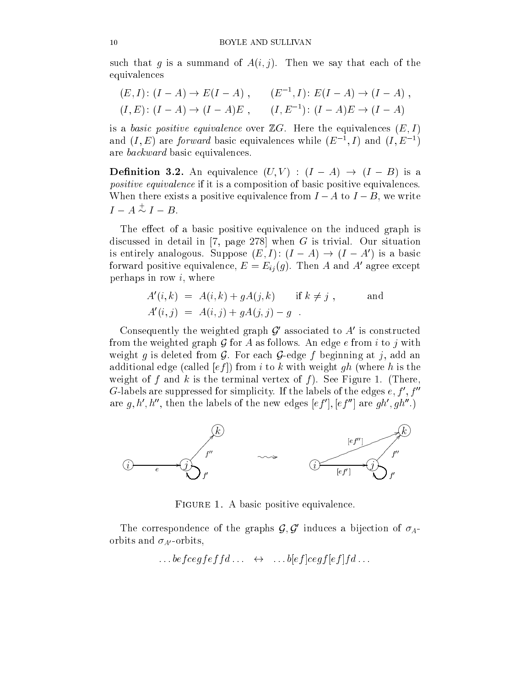such that g is a summand of  $A(i, j)$ . Then we say that each of the equivalences

$$
(E, I): (I - A) \to E(I - A), \qquad (E^{-1}, I): E(I - A) \to (I - A),
$$
  

$$
(I, E): (I - A) \to (I - A)E, \qquad (I, E^{-1}): (I - A)E \to (I - A)
$$

is a basic positive equivalence over  $\mathbb{Z}G$ . Here the equivalences  $(E, I)$ and  $(I, E)$  are *forward* basic equivalences while  $(E^{-1}, I)$  and  $(I, E^{-1})$ are backward basic equivalences.

**Definition 3.2.** An equivalence  $(U, V) : (I - A) \rightarrow (I - B)$  is a positive equivalence if it is a composition of basic positive equivalences. When there exists a positive equivalence from  $I - A$  to  $I - B$ , we write  $I - A \sim I - B$ .

The effect of a basic positive equivalence on the induced graph is discussed in detail in [7, page 278] when  $G$  is trivial. Our situation is entirely analogous. Suppose  $(E, I)$ :  $(I - A) \rightarrow (I - A)$  is a basic forward positive equivalence,  $E \equiv E_{ij}(g)$ . Then A and A agree except perhaps in row  $i$ , where

$$
A'(i,k) = A(i,k) + gA(j,k) \quad \text{if } k \neq j ,
$$
  
and  

$$
A'(i,j) = A(i,j) + gA(j,j) - g .
$$

Consequently the weighted graph  $\mathcal G$  associated to  $A$  is constructed from the weighted graph  $G$  for A as follows. An edge e from i to j with weight g is deleted from  $G$ . For each  $G$ -edge f beginning at j, add an additional edge (called  $[ef]$ ) from i to k with weight gh (where h is the weight of f and k is the terminal vertex of f). See Figure 1. (There, G-labels are suppressed for simplicity. If the labels of the edges  $e, \tau$  ,  $\tau$ are  $a, n, n$  , then the labels of the new edges  $(e_f)$  ,  $(e_f)$  are  $q h$  ,  $q h$  ,  $r$ 



Figure 1. A basic positive equivalence.

The correspondence of the graphs  $\mathcal{G}, \mathcal{G}$  induces a bijection of  $\sigma_{A^-}$ orbits and  $\sigma_{A}$ -orbits,

$$
\dots \text{before} \, g f \, g f \, f d \, \dots \quad \leftrightarrow \quad \dots \, b [e f] \, c e g f [e f] f d \, \dots
$$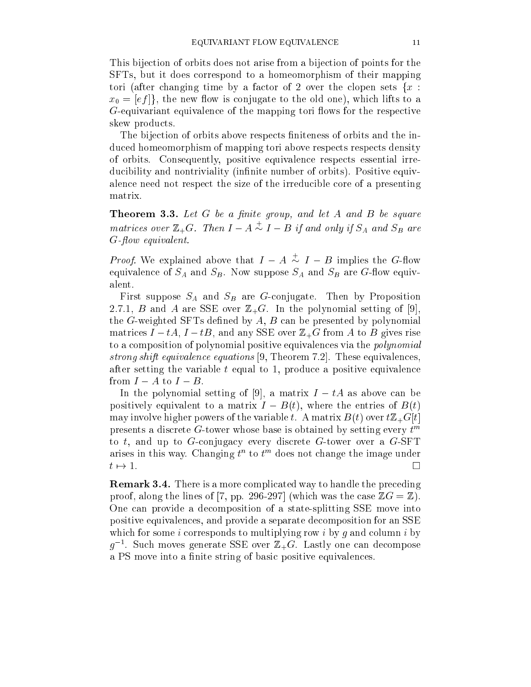This bijection of orbits does not arise from a bijection of points for the SFTs, but it does correspond to a homeomorphism of their mapping tori (after changing time by a factor of 2 over the clopen sets  $\{x :$  $x_0 = [ef]$ , the new flow is conjugate to the old one), which lifts to a  $G$ -equivariant equivalence of the mapping tori flows for the respective skew products.

The bijection of orbits above respects finiteness of orbits and the induced homeomorphism of mapping tori above respects respects density of orbits. Consequently, positive equivalence respects essential irreducibility and nontriviality (infinite number of orbits). Positive equivalence need not respect the size of the irreducible core of a presenting matrix.

**Theorem 3.3.** Let  $G$  be a finite group, and let  $A$  and  $B$  be square matrices over  $\mathbb{Z}_+G$ . Then  $I-A \sim I-B$  if and only if  $S_A$  and  $S_B$  are G-flow equivalent.

*Proof.* We explained above that  $I - A \sim I - B$  implies the G-flow equivalence of  $S_A$  and  $S_B$ . Now suppose  $S_A$  and  $S_B$  are G-flow equivalent.

First suppose  $S_A$  and  $S_B$  are G-conjugate. Then by Proposition 2.7.1, B and A are SSE over  $\mathbb{Z}_+G$ . In the polynomial setting of [9], the  $G$ -weighted SFTs defined by  $A, B$  can be presented by polynomial matrices  $I - tA$ ,  $I - tB$ , and any SSE over  $\mathbb{Z}_+G$  from A to B gives rise to a composition of polynomial positive equivalences via the polynomial strong shift equivalence equations [9, Theorem 7.2]. These equivalences, after setting the variable  $t$  equal to 1, produce a positive equivalence from  $I - A$  to  $I - B$ .

In the polynomial setting of [9], a matrix  $I - tA$  as above can be positively equivalent to a matrix  $I - B(t)$ , where the entries of  $B(t)$ may involve higher powers of the variable t. A matrix  $B(t)$  over  $t\mathbb{Z}_+G[t]$ presents a discrete G-tower whose base is obtained by setting every  $t^m$ to t, and up to G-conjugacy every discrete G-tower over a  $G$ -SFT arises in this way. Unanging  $t^{\alpha}$  to  $t^{\alpha}$  does not change the image under  $\Box$ 

Remark 3.4. There is a more complicated way to handle the preceding proof, along the lines of [7, pp. 296-297] (which was the case  $\mathbb{Z}G = \mathbb{Z}$ ). One can provide a decomposition of a state-splitting SSE move into positive equivalences, and provide a separate decomposition for an SSE which for some i corresponds to multiplying row i by q and column i by g  $\sim$  such moves generate SSE over  $\mathbb{Z}_{+}$ G. Lastly one can decompose a PS move into a finite string of basic positive equivalences.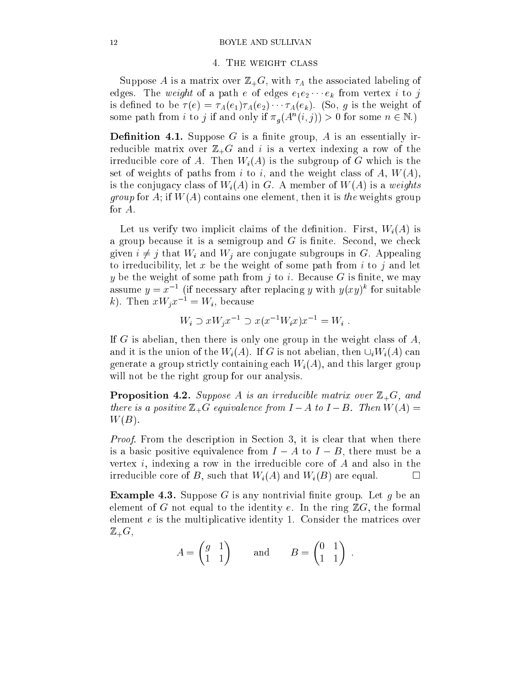#### 4. The weight class

Suppose A is a matrix over  $\mathbb{Z}_+G$ , with  $\tau_A$  the associated labeling of edges. The weight of a path e of edges  $e_1e_2 \cdots e_k$  from vertex i to j is defined to be  $\tau(e) = \tau_A(e_1)\tau_A(e_2)\cdots\tau_A(e_k)$ . (So, g is the weight of some path from i to j if and only if  $\pi_{\theta}(A^-(i,j)) > 0$  for some  $n \in \mathbb{N}$ .

**Definition 4.1.** Suppose G is a finite group, A is an essentially irreducible matrix over  $\mathbb{Z}_+G$  and i is a vertex indexing a row of the irreducible core of A. Then  $W_i(A)$  is the subgroup of G which is the set of weights of paths from i to i, and the weight class of A,  $W(A)$ , is the conjugacy class of  $W_i(A)$  in G. A member of  $W(A)$  is a weights  $\mathcal{G}$  is the form it is the contains one element, then it is the weights group  $\mathcal{G}$ for A.

Let us verify two implicit claims of the definition. First,  $W_i(A)$  is a group because it is a semigroup and  $G$  is finite. Second, we check given  $i \neq j$  that  $W_i$  and  $W_j$  are conjugate subgroups in G. Appealing to irreducibility, let  $x$  be the weight of some path from  $i$  to  $j$  and let y be the weight of some path from j to i. Because  $G$  is finite, we may assume  $y = x$  (if necessary after replacing y with  $y(xy)$  for suitable k). Then  $xW_ix^{-1} = W_i$ , because

$$
W_i \supset xW_jx^{-1} \supset x(x^{-1}W_ix)x^{-1} = W_i .
$$

If G is abelian, then there is only one group in the weight class of  $A$ , and it is the union of the  $W_i(A)$ . If G is not abelian, then  $\cup_i W_i(A)$  can generate a group strictly containing each  $W_i(A)$ , and this larger group will not be the right group for our analysis.

**Proposition 4.2.** Suppose A is an irreducible matrix over  $\mathbb{Z}_+G$ , and there is a positive Z+G equivalence from I a to I A to I A to I A to I  $W(B)$ .

Proof. From the description in Section 3, it is clear that when there is a basic positive equivalence from  $I - A$  to  $I - B$ , there must be a vertex  $i$ , indexing a row in the irreducible core of  $A$  and also in the irreducible core of B, such that  $W_i(A)$  and  $W_i(B)$  are equal.  $\Box$ 

**Example 4.3.** Suppose G is any nontrivial finite group. Let q be an element of G not equal to the identity e. In the ring  $\mathbb{Z}G$ , the formal element e is the multiplicative identity 1. Consider the matrices over  $\mathbb{Z}_+G,$ 

$$
A = \begin{pmatrix} g & 1 \\ 1 & 1 \end{pmatrix} \quad \text{and} \quad B = \begin{pmatrix} 0 & 1 \\ 1 & 1 \end{pmatrix}
$$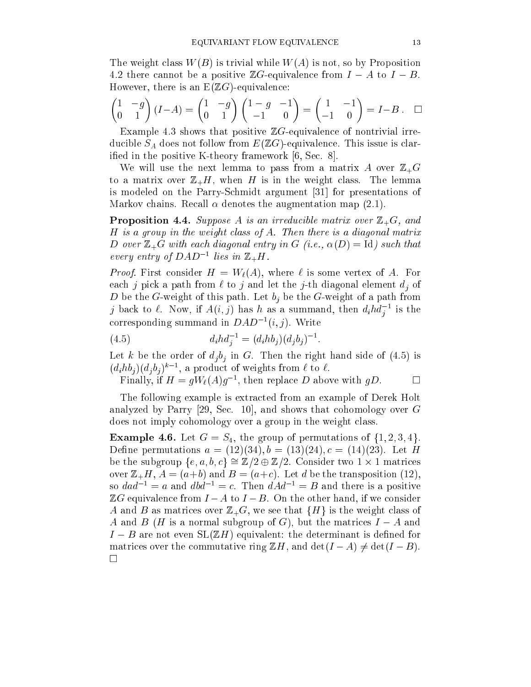The weight class  $W(B)$  is trivial while  $W(A)$  is not, so by Proposition 4.2 there cannot be a positive  $\mathbb{Z}G$ -equivalence from  $I - A$  to  $I - B$ . However, there is an  $E(ZG)$ -equivalence:

$$
\begin{pmatrix} 1 & -g \\ 0 & 1 \end{pmatrix} (I - A) = \begin{pmatrix} 1 & -g \\ 0 & 1 \end{pmatrix} \begin{pmatrix} 1 - g & -1 \\ -1 & 0 \end{pmatrix} = \begin{pmatrix} 1 & -1 \\ -1 & 0 \end{pmatrix} = I - B . \quad \Box
$$

Example 4.3 shows that positive  $\mathbb{Z}G$ -equivalence of nontrivial irreducible  $S_A$  does not follow from  $E(ZG)$ -equivalence. This issue is clarified in the positive K-theory framework [6, Sec. 8].

We will use the next lemma to pass from a matrix A over  $\mathbb{Z}_+G$ to a matrix over  $\mathbb{Z}_+H$ , when H is in the weight class. The lemma is modeled on the Parry-Schmidt argument [31] for presentations of Markov chains. Recall  $\alpha$  denotes the augmentation map (2.1).

**Proposition 4.4.** Suppose A is an irreducible matrix over  $\mathbb{Z}_+G$ , and H is a group in the weight class of A. Then there is a diagonal matrix D over  $\mathbb{Z}_+G$  with each diagonal entry in G (i.e.,  $\alpha(D) = \text{Id}$ ) such that every entry of DAD  $\sim$  ties in  $\mathbb{Z}_{+}$ H.

 $\mathcal{F}$  first consider H  $\mathcal{F}$  and  $\mathcal{F}$  is some vertex of  $\mathcal{F}$ each j pick a path from  $\ell$  to j and let the j-th diagonal element  $d_i$  of D be the G-weight of this path. Let  $b_j$  be the G-weight of a path from  $j$  back to  $\ell$ . Now, if  $A(i,j)$  has h as a summand, then  $a_i n a_j$  is the j corresponding summand in  $DAD^{-1}(i, j)$ . Write

(4.5) 
$$
d_i h d_j^{-1} = (d_i h b_j) (d_j b_j)^{-1}
$$

Let k be the order of  $d_i b_i$  in G. Then the right hand side of (4.5) is  $(a_i n o_i)(a_i o_j)$  , a product of weights from  $\ell$  to  $\ell$ .

 $\Box$ Finally, if  $H = g W_{\ell}(A)g^-$ , then replace D above with  $gD$ .

The following example is extracted from an example of Derek Holt analyzed by Parry [29, Sec. 10], and shows that cohomology over G does not imply cohomology over a group in the weight class.

**Example 4.6.** Let  $G = S_4$ , the group of permutations of  $\{1, 2, 3, 4\}$ . Define permutations  $a = (12)(34), b = (13)(24), c = (14)(23)$ . Let H be the subgroup  $\{e, a, b, c\} = \mathbb{Z}/2 \oplus \mathbb{Z}/2$ . Consider two 1  $\wedge$  1 matrices over  $\mathbb{Z}_+H$ ,  $A=(a+b)$  and  $B=(a+c)$ . Let d be the transposition (12), so  $dad^{-1} = a$  and  $dbl^{-1} = c$ . Then  $dAd^{-1} = B$  and there is a positive  $\mathbb{Z}G$  equivalence from  $I - A$  to  $I - B$ . On the other hand, if we consider A and B as matrices over  $\mathbb{Z}_+G$ , we see that  $\{H\}$  is the weight class of A and B (H is a normal subgroup of G), but the matrices  $I - A$  and  $I - B$  are not even  $SL(ZH)$  equivalent: the determinant is defined for matrices over the commutative ring  $\mathbb{Z}H$ , and  $\det(I - A) \neq \det(I - B)$ .  $\Box$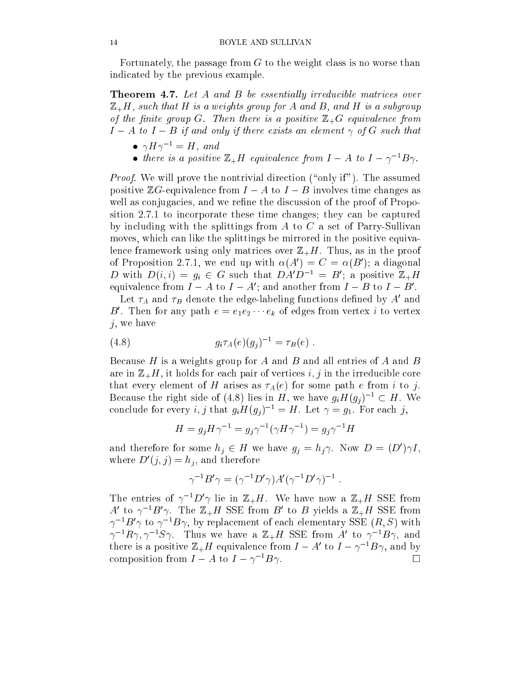Fortunately, the passage from  $G$  to the weight class is no worse than indicated by the previous example.

**Theorem 4.7.** Let A and B be essentially irreducible matrices over  $\mathbb{Z}_{+}$ H, such that H is a weights group for A and B, and H is a subgroup of the function of the matrix  $\mathcal{L}_{\mathcal{A}}$  and the control then the positive  $\mathcal{L}_{\mathcal{A}}$  and  $\mathcal{L}_{\mathcal{A}}$  equivalence from the set of the control of the control of the control of the control of the control of the co  $I - A$  to  $I - B$  if and only if there exists an element  $\gamma$  of G such that

- $\bullet$   $\gamma \pi \gamma$  =  $\pi$ , and
- there is a positive  $\mathbb{Z}_+$ H equivalence from  $I = A$  to  $I = \gamma$   $D\gamma$ .

Proof. We will prove the nontrivial direction (\only if"). The assumed positive  $\mathbb{Z}G$ -equivalence from  $I - A$  to  $I - B$  involves time changes as well as conjugacies, and we refine the discussion of the proof of Proposition 2.7.1 to incorporate these time changes; they can be captured by including with the splittings from  $A$  to  $C$  a set of Parry-Sullivan moves, which can like the splittings be mirrored in the positive equivalence framework using only matrices over  $\mathbb{Z}_+H$ . Thus, as in the proof of Proposition 2.7.1, we end up with  $\alpha(A) = C = \alpha(B)$ ; a diagonal D with  $D(i, i) = g_i \in G$  such that  $D A D^{-1} = D$ ; a positive  $\mathbb{Z}_+ H$ equivalence from  $I = A$  to  $I = A$ ; and another from  $I = D$  to  $I = D$ .

Let  $\tau_A$  and  $\tau_B$  denote the edge-labeling functions defined by  $A$  and  $D$  . Then for any path  $e = e_1e_2 \cdots e_k$  of edges from vertex  $i$  to vertex  $j$ , we have

(4.8) 
$$
g_i \tau_A(e)(g_j)^{-1} = \tau_B(e) .
$$

Because H is a weights group for A and B and all entries of A and B are in  $\mathbb{Z}_+H$ , it holds for each pair of vertices i, j in the irreducible core that every element of H arises as  $\tau_A(e)$  for some path e from i to j. Because the right side of (4.8) lies in H, we have  $g_i H(g_j)^{-1} \subset H$ . We conclude for every i, j that  $g_i H(g_i)^{-1} = H$ . Let  $\gamma = g_1$ . For each j,

$$
H = g_j H \gamma^{-1} = g_j \gamma^{-1} (\gamma H \gamma^{-1}) = g_j \gamma^{-1} H
$$

and therefore for some  $n_i \in H$  we have  $g_i = n_i \gamma$ . Now  $D = (D/\gamma I,$ where  $D(y, y) = n_i$ , and therefore

$$
\gamma^{-1}B'\gamma = (\gamma^{-1}D'\gamma)A'(\gamma^{-1}D'\gamma)^{-1}
$$

The entries of  $\gamma$  -  $D \gamma$  lie in  $\mathbb{Z}_+H$ . We have now a  $\mathbb{Z}_+H$  SSE from A to  $\gamma$  b $\gamma$ . The  $\mathbb{Z}_+$ H SSE from B to B yields a  $\mathbb{Z}_+$ H SSE from  $\gamma$  -  $D$   $\gamma$  to  $\gamma$  -  $D$  $\gamma$ , by replacement of each elementary SSE (R, S) with  $\gamma$  - $R\gamma$ ,  $\gamma$  - $S\gamma$ . Thus we have a  $\mathbb{Z}_+$  H sole from A to  $\gamma$  - $D\gamma$ , and there is a positive  $\mathbb{Z}_+H$  equivalence from  $I = A$  to  $I = \gamma^{-1}B\gamma$ , and by composition from  $I - A$  to  $I - \gamma^{-1} B \gamma$ .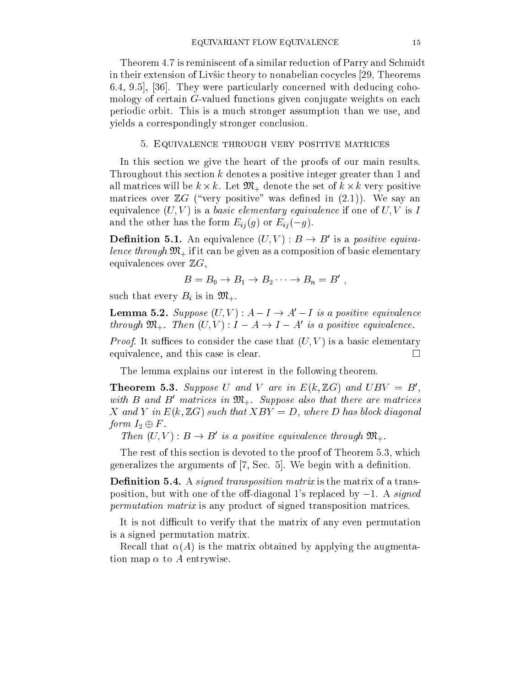Theorem 4.7 is reminiscent of a similar reduction of Parry and Schmidt in their extension of Livsic theory to nonabelian cocycles [29, Theorems 6.4, 9.5], [36]. They were particularly concerned with deducing cohomology of certain G-valued functions given conjugate weights on each periodic orbit. This is a much stronger assumption than we use, and yields a correspondingly stronger conclusion.

#### 5. Equivalence through very positive matrices

In this section we give the heart of the proofs of our main results. Throughout this section k denotes a positive integer greater than 1 and all matrices will be k - k. Let  $M+1$  denote the set of k - k. Let  $M+1$  denote the set of k - k. Let  $N+1$ matrices over  $\mathbb{Z}G$  ("very positive" was defined in  $(2.1)$ ). We say an equivalence  $(U, V)$  is a basic elementary equivalence if one of  $U, V$  is I and the other has the form  $E_{ij}(g)$  or  $E_{ij}(-g)$ .

**Definition 5.1.** An equivalence  $(U, V)$ :  $D \rightarrow D$  is a *positive equiva*lence through M+ if it can be given as a composition of basic elementary  $\mu$ equivalences over  $\mathbb{Z}G$ ,

$$
B=B_0\to B_1\to B_2\cdots\to B_n=B'
$$

such that every  $B_i$  is in  $\mathfrak{M}_+$ .

**Lemma 5.2.** Suppose  $(U, V) : A - I \rightarrow A' - I$  is a positive equivalence through  $\mathfrak{M}_+$ . Then  $(U, V)$ :  $I - A \rightarrow I - A$  is a positive equivalence.

Proof. It suces to consider the case that (U; V ) is a basic elementary equivalence, and this case is clear.

The lemma explains our interest in the following theorem.

**Theorem 5.3.** Suppose U and V are in  $E(K, \mathbb{Z}G)$  and  $UBV = B$ , with  $B$  and  $D$  matrices in  $\mathfrak{M}_+$ . Suppose also that there are matrices X and Y in  $E(k, \mathbb{Z}G)$  such that  $XBY = D$ , where D has block diagonal form I2 <sup>F</sup> .

Then  $(U, V)$ :  $D \rightarrow D$  is a positive equivalence through  $\mathcal{D} \mathcal{U}_+$ .

The rest of this section is devoted to the proof of Theorem 5.3, which generalizes the arguments of  $[7, \text{Sec. 5}]$ . We begin with a definition.

**Definition 5.4.** A *signed transposition matrix* is the matrix of a transposition, but with one of the off-diagonal 1's replaced by  $-1$ . A *signed* permutation matrix is any product of signed transposition matrices.

It is not difficult to verify that the matrix of any even permutation is a signed permutation matrix.

Recall that  $\alpha(A)$  is the matrix obtained by applying the augmentation map  $\alpha$  to A entrywise.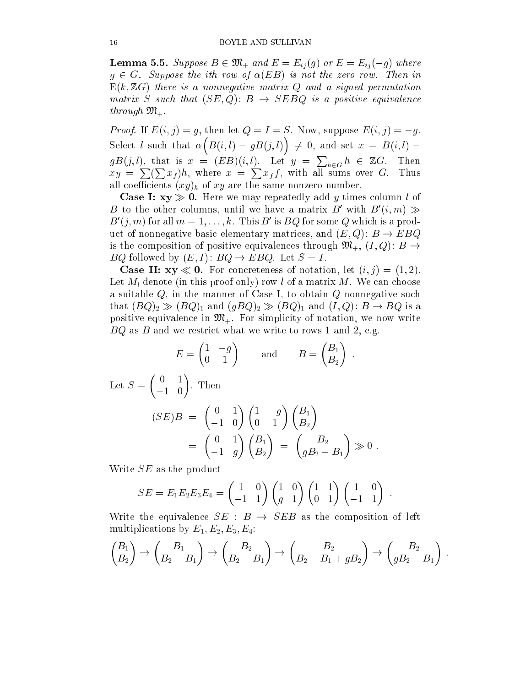**Lemma 5.5.** Suppose  $B \in \mathfrak{M}_+$  and  $E = E_{ij}(g)$  or  $E = E_{ij}(-g)$  where  $g \in G$ . Suppose the ith row of  $\alpha(EB)$  is not the zero row. Then in  $E(k, ZG)$  there is a nonnegative matrix Q and a signed permutation matrix S such that  $\mathcal{S} = \{S_{\mathcal{S}} : \mathcal{S} = \{S_{\mathcal{S}} : \mathcal{S} = \{S_{\mathcal{S}} : \mathcal{S} = \{S_{\mathcal{S}} : \mathcal{S} = \{S_{\mathcal{S}} : \mathcal{S} = \{S_{\mathcal{S}} : \mathcal{S} = \{S_{\mathcal{S}} : \mathcal{S} = \{S_{\mathcal{S}} : \mathcal{S} = \{S_{\mathcal{S}} : \mathcal{S} = \{S_{\mathcal{S}} : \mathcal{S} = \{S_{\mathcal{S}} : \mathcal$ through M+.

Proof. If E(i; j) = g, then let Q = I = S. Now, suppose E(i; j) = g.  $\overline{\phantom{a}}$  $\blacksquare$  $\sim$  $\mathcal{L}$  , denote be a set  $\mathcal{L}$  . The set of  $\mathcal{L}$  $gB(j, l)$ , that is  $x = (EB)(i, l)$ . Let  $y = \sum_{h \in G} h \in \mathbb{Z}G$ . Then  $xy = \sum_{i}(\sum_{i}x_{i})h$ , where  $x = \sum_{i}x_{i}f$ , with all sums over G. Thus all coefficients  $(xy)_h$  of xy are the same nonzero number.

**Case I:**  $xy \gg 0$ . Here we may repeatedly add y times column l of  $D$  to the other columns, until we have a matrix  $D$  with  $D(u, m) \gg$  $B(1, m)$  for all  $m = 1, \ldots, \kappa$ . This B is  $BQ$  for some Q which is a product of nonnegative basic elementary matrices, and  $(E, Q)$ :  $B \to E B Q$ is the composition of positive equivalences through  $\mathfrak{M}_{+}$ ,  $(I, Q)$ :  $B \rightarrow$ BQ followed by  $(E, I)$ :  $BQ \rightarrow EBQ$ . Let  $S = I$ .

**Case II:**  $xy \ll 0$ . For concreteness of notation, let  $(i, j) = (1, 2)$ . Let  $M_l$  denote (in this proof only) row l of a matrix M. We can choose a suitable  $Q$ , in the manner of Case I, to obtain  $Q$  nonnegative such that  $(BQ)_2 \gg (BQ)_1$  and  $(gBQ)_2 \gg (BQ)_1$  and  $(I, Q) : B \to BQ$  is a positive equivalence in  $\mathfrak{M}_+$ . For simplicity of notation, we now write  $BQ$  as B and we restrict what we write to rows 1 and 2, e.g.

$$
E = \begin{pmatrix} 0 & 1 \end{pmatrix} \quad \text{and} \quad B = \begin{pmatrix} B_2 \end{pmatrix}.
$$
  
Let  $S = \begin{pmatrix} 0 & 1 \ -1 & 0 \end{pmatrix}$ . Then  

$$
(SE)B = \begin{pmatrix} 0 & 1 \ -1 & 0 \end{pmatrix} \begin{pmatrix} 1 & -g \ 0 & 1 \end{pmatrix} \begin{pmatrix} B_1 \ B_2 \end{pmatrix}
$$

$$
= \begin{pmatrix} 0 & 1 \ -1 & g \end{pmatrix} \begin{pmatrix} B_1 \ B_2 \end{pmatrix} = \begin{pmatrix} B_2 \ g_{B_2} - B_1 \end{pmatrix} \gg 0
$$

 $\overline{\phantom{a}}$ 

- 1

Write *SE* as the product

$$
SE = E_1 E_2 E_3 E_4 = \begin{pmatrix} 1 & 0 \\ -1 & 1 \end{pmatrix} \begin{pmatrix} 1 & 0 \\ g & 1 \end{pmatrix} \begin{pmatrix} 1 & 1 \\ 0 & 1 \end{pmatrix} \begin{pmatrix} 1 & 0 \\ -1 & 1 \end{pmatrix}.
$$

Write the equivalence  $SE : B \rightarrow SEB$  as the composition of left multiplications by  $E_1, E_2, E_3, E_4$ :

$$
\begin{pmatrix} B_1 \\ B_2 \end{pmatrix} \rightarrow \begin{pmatrix} B_1 \\ B_2 - B_1 \end{pmatrix} \rightarrow \begin{pmatrix} B_2 \\ B_2 - B_1 \end{pmatrix} \rightarrow \begin{pmatrix} B_2 \\ B_2 - B_1 + gB_2 \end{pmatrix} \rightarrow \begin{pmatrix} B_2 \\ gB_2 - B_1 \end{pmatrix}.
$$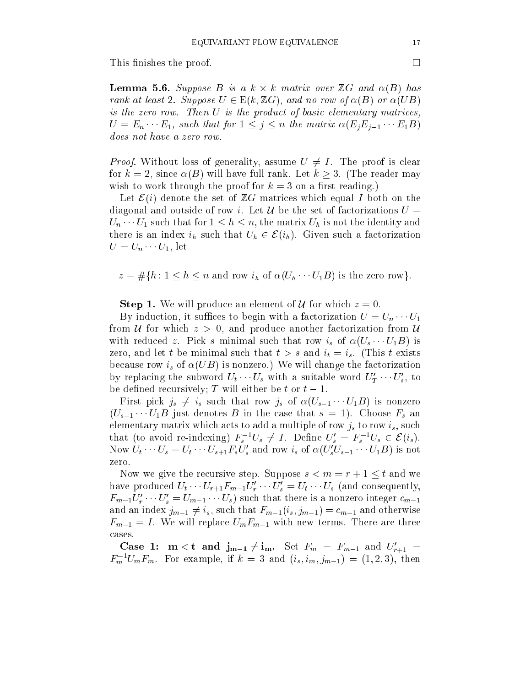This finishes the proof.

Lemma 5.6. Suppose B is <sup>a</sup> k - k matrix over ZG and (B) has rank at least 2. Suppose U <sup>2</sup> E(k; ZG), and no row of (B) or (UB) is the zero row. Then U is the product of basic elementary matrices,  $U = E_n \cdots E_1$ , such that for  $1 \leq j \leq n$  the matrix  $\alpha(E_i E_{i-1} \cdots E_1 B)$ 

Proof. Without loss of generality, assume U 6= I . The proof is clear for  $k = 2$ , since  $\alpha(B)$  will have full rank. Let  $k > 3$ . (The reader may wish to work through the proof for  $k = 3$  on a first reading.)

Let  $\mathcal{E}(i)$  denote the set of  $\mathbb{Z}G$  matrices which equal I both on the diagonal and outside of row i. Let U be the set of factorizations  $U =$  $U_n \cdots U_1$  such that for  $1 \leq h \leq n$ , the matrix  $U_h$  is not the identity and there is an index  $i_h$  such that  $U_h \in \mathcal{E}(i_h)$ . Given such a factorization  $U = U_n \cdots U_1$ , let

 $z = \#\{h: 1 \leq h \leq n \text{ and row } i_h \text{ of } \alpha(U_h \cdots U_1B) \text{ is the zero row}\}.$ 

**Step 1.** We will produce an element of U for which  $z = 0$ .

By induction, it suffices to begin with a factorization  $U = U_n \cdots U_1$ from U for which  $z > 0$ , and produce another factorization from U with reduced z. Pick s minimal such that row  $i_s$  of  $\alpha(U_s \cdots U_1 B)$  is zero, and let t be minimal such that  $t > s$  and  $i_t = i_s$ . (This t exists because row  $i_s$  of  $\alpha(UB)$  is nonzero.) We will change the factorization by replacing the subword  $U_t \cdots U_s$  with a suitable word  $U_T \cdots U_s$ , to be defined recursively; T will either be t or  $t-1$ .

First pick  $j_s \neq i_s$  such that row  $j_s$  of  $\alpha(U_{s-1} \cdots U_1 B)$  is nonzero  $(U_{s-1} \cdots U_1 B$  just denotes B in the case that  $s = 1$ ). Choose  $F_s$  and elementary matrix which acts to add a multiple of row  $j_s$  to row  $i_s$ , such that (to avoid re-indexing)  $\Gamma_s$   $\gamma_s \neq 1$ . Define  $U_s = \Gamma_s$   $\gamma_s \in \mathcal{L}(i_s)$ . Now  $U_t \cdots U_s = U_t \cdots U_{s+1} \Gamma_s U_s$  and row  $i_s$  of  $\alpha (U_s U_{s-1} \cdots U_1 D)$  is not zero.

Now we give the recursive step. Suppose  $s < m = r + 1 \leq t$  and we have produced  $U_t \cdots U_{r+1} F_{m-1} U_r \cdots U_s = U_t \cdots U_s$  (and consequently,  $r_{m-1}\sigma_r\cdots\sigma_s=\sigma_{m-1}\cdots\sigma_s$  such that there is a nonzero integer  $c_{m-1}$ and an index  $j_{m-1} \neq i_s$ , such that  $F_{m-1}(i_s, j_{m-1}) = c_{m-1}$  and otherwise  $F_{m-1} = I$ . We will replace  $U_mF_{m-1}$  with new terms. There are three cases.

Case 1:  $m < t$  and  $J_{m-1} \neq I_m$ . Set  $F_m = F_{m-1}$  and  $U_{r+1} =$  $F_m$   $U_m$   $F_m$ . For example, if  $\kappa = 3$  and  $(i_s, i_m, j_{m-1}) = (1, 2, 3)$ , then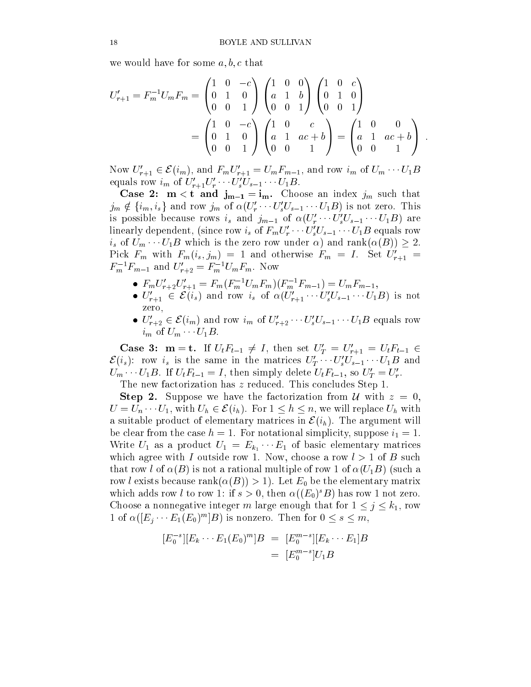we would have for some  $a, b, c$  that

$$
U'_{r+1} = F_m^{-1} U_m F_m = \begin{pmatrix} 1 & 0 & -c \\ 0 & 1 & 0 \\ 0 & 0 & 1 \end{pmatrix} \begin{pmatrix} 1 & 0 & 0 \\ a & 1 & b \\ 0 & 0 & 1 \end{pmatrix} \begin{pmatrix} 1 & 0 & c \\ 0 & 1 & 0 \\ 0 & 0 & 1 \end{pmatrix}
$$

$$
= \begin{pmatrix} 1 & 0 & -c \\ 0 & 1 & 0 \\ 0 & 0 & 1 \end{pmatrix} \begin{pmatrix} 1 & 0 & c \\ a & 1 & ac + b \\ 0 & 0 & 1 \end{pmatrix} = \begin{pmatrix} 1 & 0 & 0 \\ a & 1 & ac + b \\ 0 & 0 & 1 \end{pmatrix}
$$

Now  $U_{r+1} \in \mathcal{L}(u_m)$ , and  $\Gamma_m U_{r+1} \equiv U_m \Gamma_{m-1}$ , and row  $u_m$  of  $U_m \cdots U_1 D$ equals row  $\iota_m$  of  $U_{r+1}U_r \cdots U_s U_{s-1} \cdots U_1 D$ .

Case 2:  $m < t$  and  $j_{m-1} = i_m$ . Choose an index  $j_m$  such that  $j_m \notin \{i_m, i_s\}$  and row  $j_m$  of  $\alpha(U_r \cdots U_s U_{s-1} \cdots U_1 B)$  is not zero. This is possible because rows  $i_s$  and  $j_{m-1}$  of  $\alpha(U_r \cdots U_s U_{s-1} \cdots U_1 D)$  are linearly dependent, (since row  $i_s$  of  $F_m U_r' \cdots U_s' U_{s-1} \cdots U_1 B$  equals row  $i_s$  of  $U_m \cdots U_1B$  which is the zero row under  $\alpha$ ) and rank $(\alpha(B)) \geq 2$ . FICK  $F_m$  with  $F_m(v_s, j_m) = 1$  and otherwise  $F_m = 1$ . Set  $U_{r+1} =$  $r_m$   $r_{m-1}$  and  $U_{r+2} = r_m$   $U_m r_m$ . Now

- $r_{m}U_{r+2}U_{r+1} \equiv r_{m}(r_{m}^{*}U_{m}r_{m})(r_{m}^{*}r_{m-1}) \equiv U_{m}r_{m-1},$
- $\bullet$   $U_{r+1} \in \mathcal{L}(i_s)$  and row  $i_s$  or  $\alpha(U_{r+1} \cdots U_s U_{s-1} \cdots U_1 B)$  is not  $-$
- $\bullet$   $\cup_{r+2}^r \in \mathcal{L}(v_m)$  and row  $v_m$  of  $\cup_{r+2}^r \cdots \cup_s^r \cup_{s-1}^r \cdots \cup_1^r$  equals row  $i_m$  of  $U_m \cdots U_1B$ .

Case 3:  $m = t$ . If  $U_t r_{t-1} \neq 1$ , then set  $U_T = U_{r+1} = U_t r_{t-1}$  $\mathcal{L}(l_s)$ : row  $l_s$  is the same in the matrices  $U_T \cdots U_s U_{s-1} \cdots U_1 D$  and  $U_m \cdots U_1 D$ . If  $U_t \Gamma_{t-1} = I$ , then simply defecte  $U_t \Gamma_{t-1}$ , so  $U_T = U_r$ .

The new factorization has z reduced. This concludes Step 1. **Step 2.** Suppose we have the factorization from U with  $z = 0$ ,  $U = U_n \cdots U_1$ , with  $U_h \in \mathcal{E}(i_h)$ . For  $1 \leq h \leq n$ , we will replace  $U_h$  with

a suitable product of elementary matrices in  $\mathcal{E}(i_h)$ . The argument will be clear from the case  $h = 1$ . For notational simplicity, suppose  $i_1 = 1$ . where  $\sim$  1 as a product  $\sim$  1  $\sim$   $\sim$   $\sim$  1 of basic elementary matrices of which agree with I outside row 1. Now, choose a row  $l > 1$  of B such that row l of  $\alpha(B)$  is not a rational multiple of row 1 of  $\alpha(U_1B)$  (such a row *l* exists because rank $(\alpha(B)) > 1$ . Let  $E_0$  be the elementary matrix which adds row t to row 1: If  $s > 0$ , then  $\alpha((E_0)$  D) has row 1 not zero. Choose a nonnegative integer m large enough that for  $1 \leq j \leq k_1$ , row 1 of  $\alpha(|E_j \cdots E_1(E_0) - |B|)$  is nonzero. Then for  $0 \leq s \leq m$ ,

$$
[E_0^{-s}][E_k \cdots E_1(E_0)^m]B = [E_0^{m-s}][E_k \cdots E_1]B
$$
  
= 
$$
[E_0^{m-s}]U_1B
$$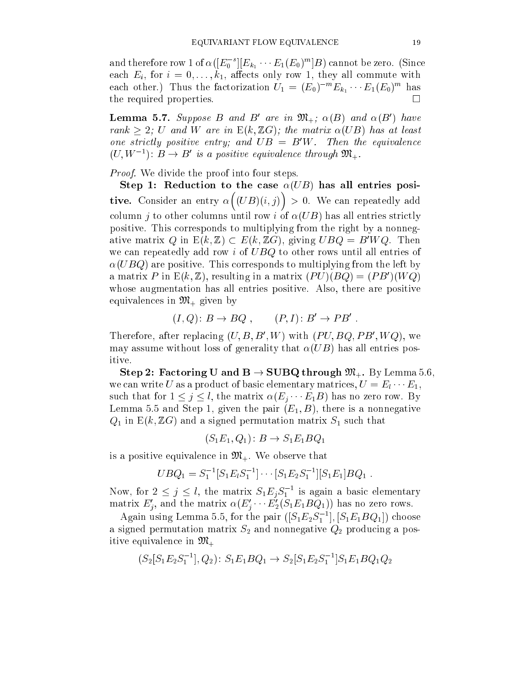and therefore row 1 of  $\alpha(|E_0|^\top |E_{k_1} \cdots E_1(E_0)^\top |B)$  cannot be zero. (Since each  $E_i$ , for  $i = 0, \ldots, k_1$ , affects only row 1, they all commute with each other.) Thus the factorization  $U_1 = (E_0)^{m} E_{k_1} \cdots E_1(E_0)^{m}$  has the required properties.  $\Box$ 

**Lemma 5.7.** Suppose B and B are in  $\mathfrak{M}_+$ ;  $\alpha(B)$  and  $\alpha(B)$  have rank 2; U and W are  $N$  and  $Z$  and  $W$  are matrix  $U$  and  $U$ one strictly positive entry; and  $\cup D = D$ W. Then the equivalence  $(U, W^{-1})$ :  $D \rightarrow D$  is a positive equivalence through  $\mathcal{D}\mathcal{U}_{+}$ .

Proof. We divide the proof into four steps.

Step 1: Reduction to the case  $\alpha(UB)$  has all entries positive. Considered and the property . .  $\sim$   $\sim$   $\sim$   $\sim$   $\sim$   $\sim$   $\sim$  $\sim$ > 0. We can repeatedly add column j to other columns until row i of  $\alpha(UB)$  has all entries strictly positive. This corresponds to multiplying from the right by a nonnegative matrix Q in  $E(k, \mathbb{Z}) \subset E(k, \mathbb{Z}G)$ , giving  $UBQ = B'WQ$ . Then we can repeatedly add row  $i$  of  $UBQ$  to other rows until all entries of  $\alpha(UBQ)$  are positive. This corresponds to multiplying from the left by a matrix P in  $E(\kappa, \mathbb{Z})$ , resulting in a matrix  $(PU)(DQ) \equiv (PD)(WQ)$ whose augmentation has all entries positive. Also, there are positive equivalences in  $\mathfrak{M}_+$  given by

$$
(I, Q): B \to BQ , \qquad (P, I): B' \to PB' .
$$

Therefore, after replacing  $(U, D, D, W)$  with  $(FU, DQ, FD, WQ)$ , we may assume without loss of generality that  $\alpha(UB)$  has all entries positive.

Step 2: Factoring U and  $B \to \text{SUBQ through } \mathfrak{M}_+$ . By Lemma 5.6, we can write U as a product of basic elementary matrices,  $U = E_1 \cdots E_1$ , such that for  $1 \leq j \leq l$ , the matrix  $\alpha(E_i \cdots E_1 B)$  has no zero row. By Lemma 5.5 and Step 1, given the pair  $(E_1, B)$ , there is a nonnegative  $Q_1$  in E(k, ZG) and a signed permutation matrix  $S_1$  such that

$$
(S_1E_1, Q_1): B \to S_1E_1BQ_1
$$

is a positive equivalence in  $\mathfrak{M}_+$ . We observe that

$$
UBQ_1 = S_1^{-1}[S_1E_1S_1^{-1}] \cdots [S_1E_2S_1^{-1}][S_1E_1]BQ_1.
$$

Now, for  $2 \leq j \leq l$ , the matrix  $S_1E_jS_1$  is again a basic elementary matrix  $E_j$ , and the matrix  $\alpha(E_j \cdots E_2(S_1E_1BQ_1))$  has no zero rows.

Again using Lemma 5.5, for the pair  $([S_1E_2S_1^\top],[S_1E_1BQ_1^\top]$  choose a signed permutation matrix  $S_2$  and nonnegative  $Q_2$  producing a positive equivalence in  $\mathfrak{M}_+$ 

$$
(S_2[S_1E_2S_1^{-1}], Q_2) \colon S_1E_1BQ_1 \to S_2[S_1E_2S_1^{-1}]S_1E_1BQ_1Q_2
$$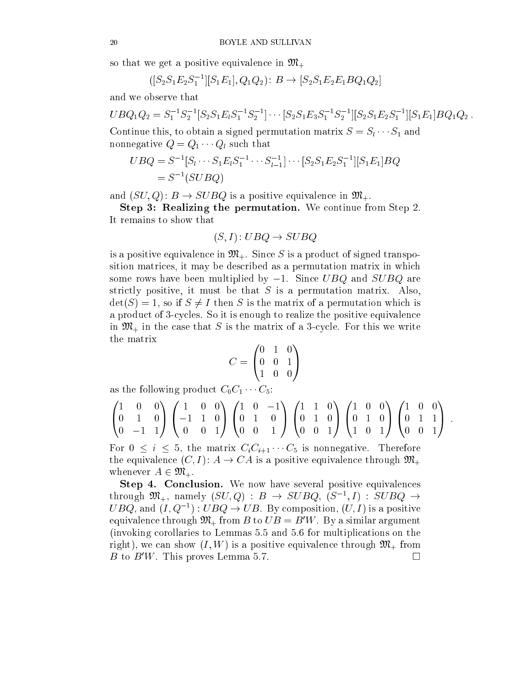so that we get a positive equivalence in  $\mathfrak{M}_+$ 

$$
([S_2S_1E_2S_1^{-1}][S_1E_1], Q_1Q_2): B \to [S_2S_1E_2E_1BQ_1Q_2]
$$

and we observe that

$$
UBQ_1Q_2 = S_1^{-1}S_2^{-1}[S_2S_1E_lS_1^{-1}S_2^{-1}] \cdots [S_2S_1E_3S_1^{-1}S_2^{-1}][S_2S_1E_2S_1^{-1}][S_1E_1]BQ_1Q_2.
$$

Continue this, to obtain a signed permutation matrix  $S = S_1 \cdots S_1$  and nonnegative  $Q = Q_1 \cdots Q_l$  such that

$$
UBQ = S^{-1}[S_l \cdots S_1 E_l S_1^{-1} \cdots S_{l-1}^{-1}] \cdots [S_2 S_1 E_2 S_1^{-1}][S_1 E_1] BQ
$$
  
=  $S^{-1}(SUBQ)$ 

and  $(SU, Q)$ :  $B \to SUBQ$  is a positive equivalence in  $\mathfrak{M}_+$ .

Step 3: Realizing the permutation. We continue from Step 2. It remains to show that

$$
(S, I): U BQ \to SUBQ
$$

is a positive equivalence in  $\mathfrak{M}_+$ . Since S is a product of signed transposition matrices, it may be described as a permutation matrix in which some rows have been multiplied by  $-1$ . Since UBQ and SUBQ are strictly positive, it must be that  $S$  is a permutation matrix. Also,  $\det(S) = 1$ , so if  $S \neq I$  then S is the matrix of a permutation which is a product of 3-cycles. So it is enough to realize the positive equivalence in  $\mathfrak{M}_+$  in the case that S is the matrix of a 3-cycle. For this we write the matrix

$$
C = \begin{pmatrix} 0 & 1 & 0 \\ 0 & 0 & 1 \\ 1 & 0 & 0 \end{pmatrix}
$$

as the following product  $C_0C_1 \cdots C_5$ :

$$
\begin{pmatrix}\n1 & 0 & 0 \\
0 & 1 & 0 \\
0 & -1 & 1\n\end{pmatrix}\n\begin{pmatrix}\n1 & 0 & 0 \\
-1 & 1 & 0 \\
0 & 0 & 1\n\end{pmatrix}\n\begin{pmatrix}\n1 & 0 & -1 \\
0 & 1 & 0 \\
0 & 0 & 1\n\end{pmatrix}\n\begin{pmatrix}\n1 & 1 & 0 \\
0 & 1 & 0 \\
0 & 0 & 1\n\end{pmatrix}\n\begin{pmatrix}\n1 & 0 & 0 \\
0 & 1 & 0 \\
1 & 0 & 1\n\end{pmatrix}\n\begin{pmatrix}\n1 & 0 & 0 \\
0 & 1 & 1 \\
0 & 0 & 1\n\end{pmatrix}
$$

For  $0 \leq i \leq 5$ , the matrix  $C_iC_{i+1}\cdots C_5$  is nonnegative. Therefore the equivalence  $(C, I) : A \to CA$  is a positive equivalence through  $\mathfrak{M}_+$ whenever  $A \in \mathfrak{M}_+$ .

Step 4. Conclusion. We now have several positive equivalences through  $\mathcal{M}_+$ , namely  $(SU, Q)$ :  $B \rightarrow SUBQ$ ,  $(S^-, I)$ :  $SUBQ \rightarrow$  $U D Q$ , and  $(I, Q \to I : U D Q \to U D$ . By composition,  $(U, I)$  is a positive equivalence through  $\mathfrak{M}_{+}$  from B to  $UB = B'W$ . By a similar argument (invoking corollaries to Lemmas 5.5 and 5.6 for multiplications on the right), we can show  $(I, W)$  is a positive equivalence through  $\mathfrak{M}_{+}$  from B to  $B'W$ . This proves Lemma 5.7.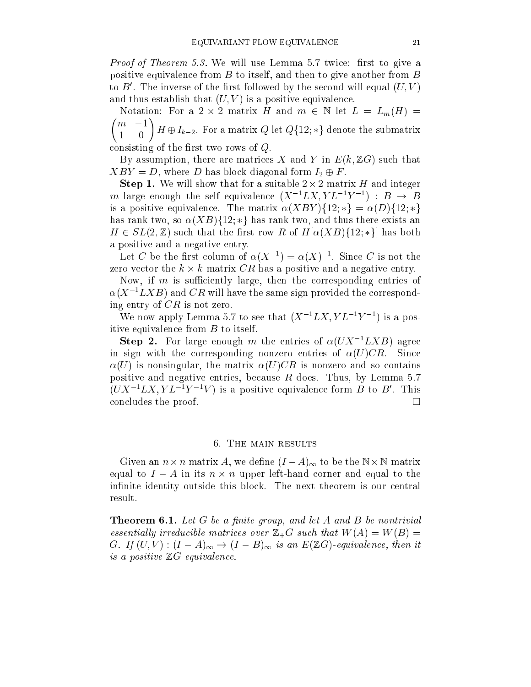Proof of Theorem 5.3. We will use Lemma 5.7 twice: rst to give a positive equivalence from  $B$  to itself, and then to give another from  $B$ to  $D$ . The inverse of the first followed by the second will equal  $(U, V)$ and thus establish that  $(U, V)$  is a positive equivalence.

 Notation: For a 2 - 2 matrix H and m <sup>2</sup> <sup>N</sup> let L = Lm(H) =  $1 \quad 0 \quad$   $1 \quad 0$  consisting of the first two rows of  $Q$ .

By assumption, there are matrices X and Y in  $E(k, \mathbb{Z}G)$  such that  $XBY = D$ , where D has block diagonal form  $I_2 \oplus F$ .

 $\mathbb{R}$  . We will show that for a suitable 2 -  $\mathbb{R}$  -  $\mathbb{R}$  -  $\mathbb{R}$  -  $\mathbb{R}$  -  $\mathbb{R}$  $m$  large enough the self equivalence (A  $LL, Y L^{-1}$  ):  $B \rightarrow B$ is a positive equivalence. The matrix  $\alpha(XBY)$ {12; \*} =  $\alpha(D)$ {12; \*} has rank two, so  $\alpha(XB)$ {12; \*} has rank two, and thus there exists an  $H \in SL(2, \mathbb{Z})$  such that the first row R of  $H[\alpha(XB)\{12; *\}]$  has both a positive and a negative entry.

Let C be the first column of  $\alpha(\Lambda^{-1}) = \alpha(\Lambda)^{-1}$ . Since C is not the zero vector the k - k matrix CR has a positive and a negative entry.

Now, if  $m$  is sufficiently large, then the corresponding entries of  $\alpha$  ( $\Lambda^{-1}$   $L\Lambda$   $B$  ) and  $CH$  will have the same sign provided the corresponding entry of  $CR$  is not zero.

we now apply Lemma 5.7 to see that  $(X^{-1}LX, YL^{-1})$  is a positive equivalence from  $B$  to itself.

**Step 2.** For large enough m the entries of  $\alpha(UX^{-1}LAB)$  agree in sign with the corresponding nonzero entries of  $\alpha(U)CR$ . Since  $\alpha(U)$  is nonsingular, the matrix  $\alpha(U)CR$  is nonzero and so contains positive and negative entries, because R does. Thus, by Lemma 5.7  $(UA^{-1}LA, TL^{-1}T^{-}V)$  is a positive equivalence form  $D$  to  $D$ . This concludes the proof.

#### 6. The main results

 $\mathcal{L} = \left\{ \begin{array}{ccc} 1 & 1 & 1 \ 1 & 1 & 1 \end{array} \right.$ equal to I a in its new left-hand corner and corner and exception to the top to the infinite identity outside this block. The next theorem is our central result.

**Theorem 6.1.** Let G be a finite group, and let A and B be nontrivial essential ly irreducible matrices over Z+G such that W(A) = W(B) = G. If  $(U, V) : (I - A)_{\infty} \to (I - B)_{\infty}$  is an  $E(\mathbb{Z}G)$ -equivalence, then it is <sup>a</sup> positive ZG equivalence.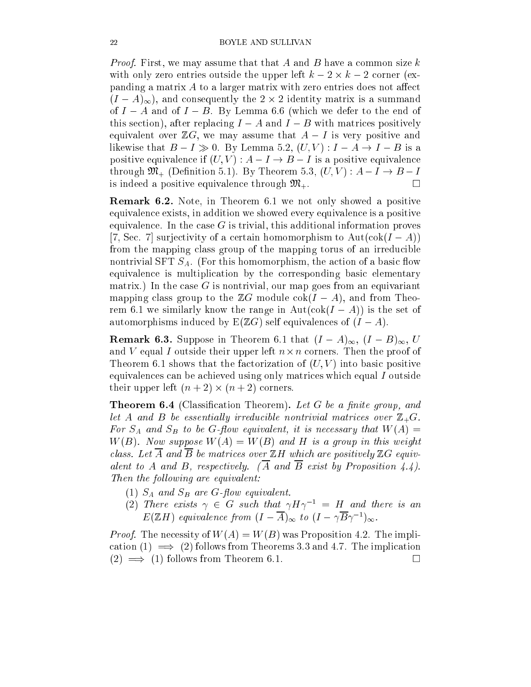Proof. First, we may assume that that A and B have a common size k with one and understand the upper left  $\mathbb{R}^n$  is the upper left  $\mathbb{R}^n$  . The upper left k  $\mathbb{R}^n$ panding a matrix  $A$  to a larger matrix with zero entries does not affect  $\mathcal{N}$  . The  $\mathcal{N}$  is a summatrix is a summatrix in a summatrix is a summatrix in a summatrix is a summatrix in of  $I - A$  and of  $I - B$ . By Lemma 6.6 (which we defer to the end of this section), after replacing  $I - A$  and  $I - B$  with matrices positively equivalent over  $\mathbb{Z}G$ , we may assume that  $A-I$  is very positive and likewise that  $B - I \gg 0$ . By Lemma 5.2,  $(U, V) : I - A \rightarrow I - B$  is a positive equivalence if  $(U, V) : A - I \rightarrow B - I$  is a positive equivalence through  $\mathfrak{M}_+$  (Definition 5.1). By Theorem 5.3,  $(U, V) : A - I \rightarrow B - I$ is indeed a positive equivalence through  $\mathfrak{M}_+$ .  $\Box$ 

Remark 6.2. Note, in Theorem 6.1 we not only showed a positive equivalence exists, in addition we showed every equivalence is a positive equivalence. In the case  $G$  is trivial, this additional information proves [7, Sec. 7] surjectivity of a certain homomorphism to  $Aut(cok(I - A))$ from the mapping class group of the mapping torus of an irreducible nontrivial SFT  $S_A$ . (For this homomorphism, the action of a basic flow equivalence is multiplication by the corresponding basic elementary matrix.) In the case  $G$  is nontrivial, our map goes from an equivariant mapping class group to the  $\mathbb{Z}G$  module  $\mathrm{cok}(I - A)$ , and from Theorem 6.1 we similarly know the range in  $Aut(cok(I - A))$  is the set of automorphisms induced by  $E(ZG)$  self equivalences of  $(I - A)$ .

**Remark 6.3.** Suppose in Theorem 6.1 that  $(I - A)_{\infty}$ ,  $(I - B)_{\infty}$ , U and v equal I outside the proof of the proof of the proof of the proof of  $\mathcal{C}$ Theorem 6.1 shows that the factorization of  $(U, V)$  into basic positive equivalences can be achieved using only matrices which equal I outside their upper left (n + 2) - (n + 2) corners.

**Theorem 6.4** (Classification Theorem). Let G be a finite group, and let A and B be essential ly irreducible nontrivial matrices over 2000  $\pm$  $\sim$  SA and SB to be G-J to a quitality that Hilbert J and W(A)  $\sim$  $W(B)$ . Now suppose  $W(A) = W(B)$  and H is a group in this weight class. Let  $A$  and B be matrices over  $\mathbb{Z}$  which are positively  $\mathbb{Z}$  equivalent to A and B, respectively. (A and B exist by Proposition 4.4). Then the following are equivalent: the following are equivalent: the following are equivalent: the following are equivalent: the following are equivalent: the following are equivalent: the following are equivalent: the fol

- (1)  $S_A$  and  $S_B$  are G-flow equivalent.
- (2) Inere exists  $\gamma$   $\in$  G such that  $\gamma \Pi$   $\gamma$   $\tau$   $\equiv$   $\pi$  and there is an  $E(\mathbb{Z}H)$  equivalence from  $(I - A)_{\infty}$  to  $(I - \gamma D \gamma^{-1})_{\infty}$ .

Proof. The necessity of W(A) = W(B) was Proposition 4.2. The implication (1)  $\implies$  (2) follows from Theorems 3.3 and 4.7. The implication  $(2) \implies (1)$  follows from Theorem 6.1.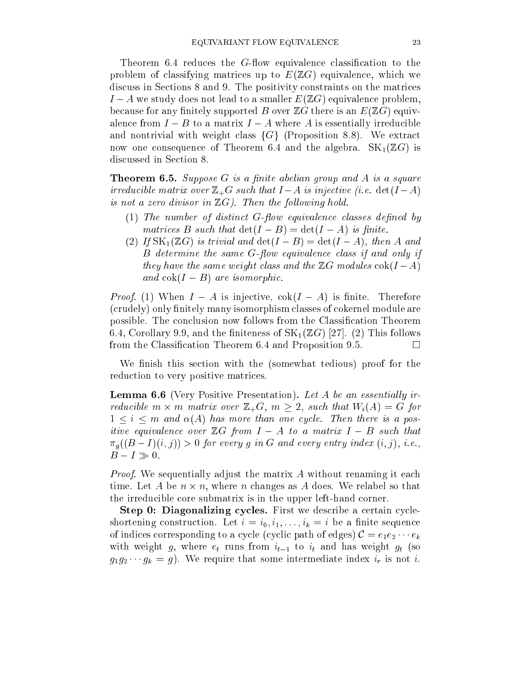Theorem 6.4 reduces the  $G$ -flow equivalence classification to the problem of classifying matrices up to  $E(ZG)$  equivalence, which we discuss in Sections 8 and 9. The positivity constraints on the matrices  $I - A$  we study does not lead to a smaller  $E(ZG)$  equivalence problem, because for any finitely supported B over  $\mathbb{Z}G$  there is an  $E(\mathbb{Z}G)$  equivalence from  $I - B$  to a matrix  $I - A$  where A is essentially irreducible and nontrivial with weight class  $\{G\}$  (Proposition 8.8). We extract now one consequence of Theorem 6.4 and the algebra.  $SK_1(\mathbb{Z}G)$  is discussed in Section 8.

**Theorem 6.5.** Suppose  $G$  is a finite abelian group and  $A$  is a square irreducible matrix over Z+G such that I and I A is injective (i.e. det(I A) and is not <sup>a</sup> zero divisor in ZG). Then the fol lowing hold.

- $(1)$  The number of distinct G-flow equivalence classes defined by matrices B such that det(I B) = det(I A) is nite.
- (2) If  $SK_1(\mathbb{Z}G)$  is trivial and  $\det(I-B) = \det(I-A)$ , then A and  $B$  determine the same  $G$ -flow equivalence class if and only if they have the same weight class and the ZG modules cok(I A) and contract and contract are in the contract of the contract of the contract of the contract of the contract of the contract of the contract of the contract of the contract of the contract of the contract of the contract

Proof. (1) When I A is injective, cok(I A) is nite. Therefore (crudely) only finitely many isomorphism classes of cokernel module are possible. The conclusion now follows from the Classication Theorem 6.4, Corollary 9.9, and the finiteness of  $SK_1(\mathbb{Z}G)$  [27]. (2) This follows from the Classication Theorem 6.4 and Proposition 9.5.  $\Box$ 

We finish this section with the (somewhat tedious) proof for the reduction to very positive matrices.

**Lemma 6.6** (Very Positive Presentation). Let A be an essentially irreducible m - m matrix over Z+G, m 2, such that Wi(A) = G for  $1 \leq i \leq m$  and  $\alpha(A)$  has more than one cycle. Then there is a positive equivalence over  $\mathbb{R}^n$  . The matrix I is a matrix I such that such that such that such that such that such that such that such that such that such that such that such that such that such that such that such tha  $\pi_q((B-I)(i,j)) > 0$  for every g in G and every entry index  $(i,j)$ , i.e.,  $B-I \gg 0$ .

Proof. We sequentially adjust the matrix A without renaming it each time. Let a be not a be not as a changes as a does as A does. We relate the sound the irreducible core submatrix is in the upper left-hand corner.

Step 0: Diagonalizing cycles. First we describe a certain cycleshortening construction. Let  $i = i_0, i_1, \ldots, i_k = i$  be a finite sequence of indices corresponding to a cycle (cyclic path of edges)  $C = e_1e_2 \cdots e_k$ with weight g, where  $e_t$  runs from  $i_{t-1}$  to  $i_t$  and has weight  $g_t$  (so  $g_1g_2 \cdots g_k = g$ . We require that some intermediate index  $i_r$  is not i.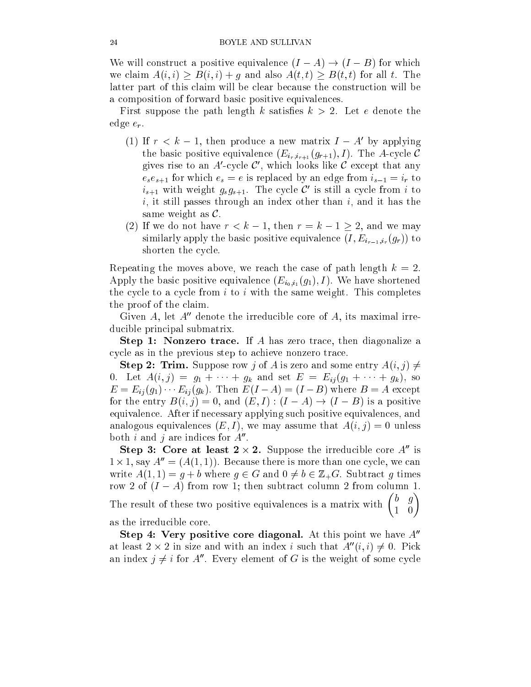We will construct a positive equivalence  $(I - A) \rightarrow (I - B)$  for which we claim  $A(i, i) \geq B(i, i) + g$  and also  $A(t, t) \geq B(t, t)$  for all t. The latter part of this claim will be clear because the construction will be a composition of forward basic positive equivalences.

First suppose the path length k satisfies  $k > 2$ . Let e denote the edge  $e_r$ .

- (1) If  $r \leq \kappa 1$ , then produce a new matrix  $I A$  by applying the basic positive equivalence  $(E_{i_r,i_{r+1}}(g_{r+1}), I)$ . The A-cycle C gives rise to an  $A$ -cycle  $C$  , which looks like  $C$  except that any  $e_se_{s+1}$  for which  $e_s = e$  is replaced by an edge from  $i_{s-1} = i_r$  to  $i_{s+1}$  with weight  $g_s g_{s+1}$ . The cycle C is still a cycle from  $i$  to  $i$ , it still passes through an index other than  $i$ , and it has the same weight as  $\mathcal{C}$ .
- (2) If we do not have  $r < k 1$ , then  $r = k 1 \geq 2$ , and we may similarly apply the basic positive equivalence  $(I, E_{i_{r-1},i_r}(g_r))$  to shorten the cycle.

Repeating the moves above, we reach the case of path length  $k = 2$ . Apply the basic positive equivalence  $(E_{i_0,i_1}(g_1), I)$ . We have shortened the cycle to a cycle from  $i$  to  $i$  with the same weight. This completes the proof of the claim.

Given A, let  $A''$  denote the irreducible core of A, its maximal irreducible principal submatrix.

Step 1: Nonzero trace. If A has zero trace, then diagonalize a cycle as in the previous step to achieve nonzero trace.

**Step 2: Trim.** Suppose row j of A is zero and some entry  $A(i, j) \neq j$ 0. Let  $A(i, j) = g_1 + \cdots + g_k$  and set  $E = E_{ij}(g_1 + \cdots + g_k)$ , so  $E = E_{ij}(g_1) \cdots E_{ij}(g_k)$ . Then  $E(I - A) = (I - B)$  where  $B = A$  except for the entry  $B(i, j) = 0$ , and  $(E, I) : (I - A) \rightarrow (I - B)$  is a positive equivalence. After if necessary applying such positive equivalences, and analogous equivalences  $(E, I)$ , we may assume that  $A(i, j) = 0$  unless both  $i$  and  $j$  are indices for  $A$  .

Step 3: Core at least  $2 \times 2$ . Suppose the irreducible core A is  $1 \times 1$ , say  $A^{\dagger} = (A(1, 1))$ . Because there is more than one cycle, we can write  $A(1, 1) = g + b$  where  $g \in G$  and  $0 \neq b \in \mathbb{Z}_+G$ . Subtract g times row 2 of  $(I - A)$  from row 1; then subtract column 2 from column 1. The result of these two positive equivalences is a matrix with  $\begin{pmatrix} b & g \\ g & g \end{pmatrix}$  $\sim$ 

as the irreducible core.

Step 4: Very positive core diagonal. At this point we have  $A<sup>0</sup>$ at least 2  $\times$  2 in size and with an index  $i$  such that  $A$   $(i,i)\neq$  0. Pick an index  $\gamma \neq i$  for  $A$  . Every element of G is the weight of some cycle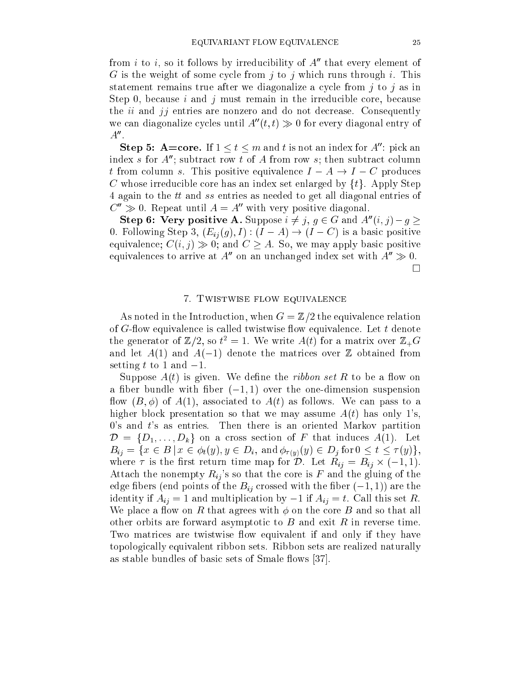from i to i, so it follows by irreducibility of  $A''$  that every element of G is the weight of some cycle from  $i$  to  $j$  which runs through i. This statement remains true after we diagonalize a cycle from  $j$  to  $j$  as in Step 0, because i and j must remain in the irreducible core, because the  $ii$  and  $jj$  entries are nonzero and do not decrease. Consequently we can diagonalize cycles until  $A''(t, t) \gg 0$  for every diagonal entry of  $A^{\prime\prime}$ .

**Step 5: A=core.** If  $1 \le t \le m$  and t is not an index for  $A''$ : pick an index s for  $A''$ ; subtract row t of A from row s; then subtract column t from column s. This positive equivalence  $I - A \rightarrow I - C$  produces C whose irreducible core has an index set enlarged by  $\{t\}$ . Apply Step 4 again to the tt and ss entries as needed to get all diagonal entries of  $C'' \gg 0$ . Repeat until  $A = A''$  with very positive diagonal.

Step 6: Very positive A. Suppose  $i \neq j$ ,  $g \in G$  and  $A''(i, j) - g \geq$ 0. Following Step 3,  $(E_{ij}(g), I) : (I - A) \rightarrow (I - C)$  is a basic positive equivalence;  $C(i, j) \gg 0$ ; and  $C \geq A$ . So, we may apply basic positive equivalences to arrive at  $A''$  on an unchanged index set with  $A'' \gg 0$ .  $\Box$ 

#### 7. Twistwise flow equivalence

As noted in the Introduction, when  $G=\mathbb{Z}/2$  the equivalence relation of  $G$ -flow equivalence is called twistwise flow equivalence. Let  $t$  denote the generator of  $\mathbb{Z}/2$ , so  $t^2 \equiv 1$ . We write  $A(t)$  for a matrix over  $\mathbb{Z}_+G$ and let  $A(1)$  and  $A(-1)$  denote the matrices over  $\mathbb Z$  obtained from setting t to 1 and  $-1$ .

Suppose  $A(t)$  is given. We define the *ribbon set* R to be a flow on a fiber bundle with fiber  $(-1, 1)$  over the one-dimension suspension flow  $(B, \phi)$  of  $A(1)$ , associated to  $A(t)$  as follows. We can pass to a higher block presentation so that we may assume  $A(t)$  has only 1's,  $0$ 's and  $t$ 's as entries. Then there is an oriented Markov partition D = fD1; : : : ; Dkg on a cross section of F that induces A(1). Let  $B_{ij} = \{x \in B \mid x \in \phi_t(y), y \in D_i, \text{ and } \phi_{\tau(y)}(y) \in D_j \text{ for } 0 \le t \le \tau(y)\},\$  $\frac{1}{2}$  is the map for  $\frac{1}{2}$  - Bij - Bij - Bij - Bij - Bij - Bij - Bij - Bij - Bij - Bij - Bij - Bij - Bij - Bij - Bij - Bij - Bij - Bij - Bij - Bij - Bij - Bij - Bij - Bij - Bij - Bij - Bij - Bij - Bij - Bij - Bij Attach the nonempty  $R_{ij}$ 's so that the core is F and the gluing of the edge fibers (end points of the  $B_{ij}$  crossed with the fiber  $(-1, 1)$ ) are the identity if  $A_{ij} = 1$  and multiplication by  $-1$  if  $A_{ij} = t$ . Call this set R. We place a flow on R that agrees with  $\phi$  on the core B and so that all other orbits are forward asymptotic to  $B$  and exit  $R$  in reverse time. Two matrices are twistwise flow equivalent if and only if they have topologically equivalent ribbon sets. Ribbon sets are realized naturally as stable bundles of basic sets of Smale flows [37].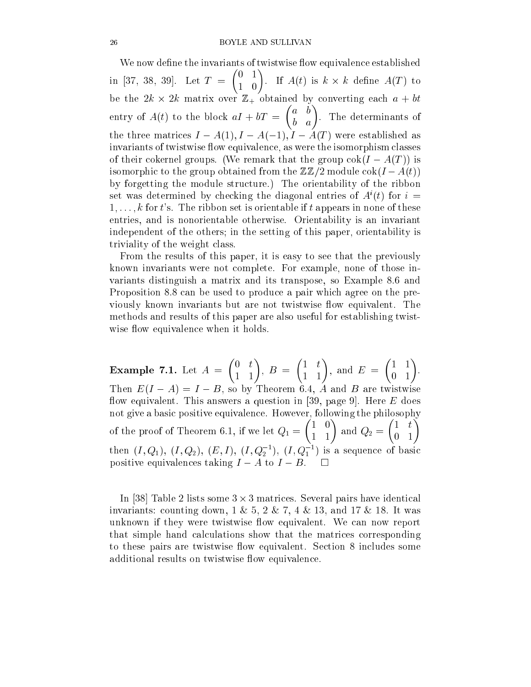We now define the invariants of twistwise flow equivalence established in [37, 38, 39]. Let T =  $\sim$  $\sim$ . It is a definition of the second and a property of the second state of the second state of the second state o be the 2k of 2k matrix over 2k matrix over 2k matrix over 2k obtained by converting each and the con entry of A(t) to the block aid to the block aid to the block at the block aid to the block aid to the block ai  $\overline{\phantom{a}}$  $\sim$ the three matrices  $I - A(1), I - A(-1), I - A(T)$  were established as invariants of twistwise flow equivalence, as were the isomorphism classes of their cokernel groups. (We remark that the group  $\cot(I - A(T))$  is isomorphic to the group obtained from the  $\mathbb{ZZ}/2$  module  $\cot(I - A(t))$ by forgetting the module structure.) The orientability of the ribbon set was determined by checking the diagonal entries of  $A$  (t) for  $i =$  $1, \ldots, k$  for t's. The ribbon set is orientable if t appears in none of these entries, and is nonorientable otherwise. Orientability is an invariant independent of the others; in the setting of this paper, orientability is triviality of the weight class.

From the results of this paper, it is easy to see that the previously known invariants were not complete. For example, none of those invariants distinguish a matrix and its transpose, so Example 8.6 and Proposition 8.8 can be used to produce a pair which agree on the previously known invariants but are not twistwise flow equivalent. The methods and results of this paper are also useful for establishing twistwise flow equivalence when it holds.

Example 7.1. Let A =  $\sim$   $\overline{\phantom{a}}$   $\overline{\phantom{a}}$  Then  $E(I - A) = I - B$ , so by Theorem 6.4, A and B are twistwise flow equivalent. This answers a question in [39, page 9]. Here  $E$  does not give a basic positive equivalence. However, following the philosophy of the proof of the proof of Theorem 6.1, if we let  $\mathcal{I}$  $\sim$  and Q2 and Q2 and Q2 and Q2 and Q2 and Q2 and Q2 and Q2 and Q2 and Q2 and Q2 and Q2 and Q2 and Q2 and Q2  $\sim$  $\sim$ then  $(I, Q_1), (I, Q_2), (E, I), (I, Q_2]), (I, Q_1)$  is a sequence of basic positive equivalences taking  $I - A$  to  $I - B$ .

In [38] Table 2 lists some 3 - 3 matrices. Several pairs have identical invariants: counting down,  $1 \& 5$ ,  $2 \& 7$ ,  $4 \& 13$ , and  $17 \& 18$ . It was unknown if they were twistwise flow equivalent. We can now report that simple hand calculations show that the matrices corresponding to these pairs are twistwise flow equivalent. Section 8 includes some additional results on twistwise flow equivalence.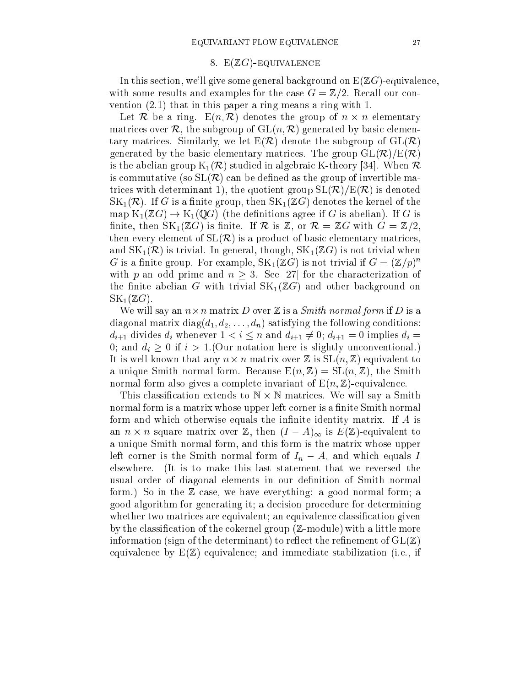### 8.  $E(ZG)$ -Equivalence

In this section, we'll give some general background on  $E(ZG)$ -equivalence, with some results and examples for the case  $G=\mathbb{Z}/2$ . Recall our convention (2.1) that in this paper a ring means a ring with 1.

Let <sup>R</sup> be a ring. E(n; R) denotes the group of n - n elementary matrices over R, the subgroup of  $GL(n, \mathcal{R})$  generated by basic elementary matrices. Similarly, we let  $E(\mathcal{R})$  denote the subgroup of  $GL(\mathcal{R})$ generated by the basic elementary matrices. The group  $GL(\mathcal{R})/E(\mathcal{R})$ is the abelian group  $K_1(\mathcal{R})$  studied in algebraic K-theory [34]. When  $\mathcal R$ is commutative (so  $SL(\mathcal{R})$  can be defined as the group of invertible matrices with determinant 1), the quotient group  $SL(\mathcal{R})/E(\mathcal{R})$  is denoted  $SK_1(\mathcal{R})$ . If G is a finite group, then  $SK_1(\mathbb{Z}G)$  denotes the kernel of the map  $K_1(\mathbb{Z}G) \to K_1(\mathbb{Q}G)$  (the definitions agree if G is abelian). If G is finite, then  $SK_1(\mathbb{Z}G)$  is finite. If R is Z, or  $\mathcal{R} = \mathbb{Z}G$  with  $G = \mathbb{Z}/2$ , then every element of  $SL(\mathcal{R})$  is a product of basic elementary matrices, and  $SK_1(\mathcal{R})$  is trivial. In general, though,  $SK_1(\mathbb{Z}G)$  is not trivial when G is a limite group. For example,  $\mathsf{S}\mathsf{N}_1(\mathbb{Z}G)$  is not trivial if  $G\equiv (\mathbb{Z}/p)^{-1}$ with p an odd prime and  $n \geq 3$ . See [27] for the characterization of the finite abelian G with trivial  $SK_1(\mathbb{Z}G)$  and other background on  $SK_1(\mathbb{Z}G)$ .

will say an in-distance  $\mathcal{L}$  is a Smith normal form if D is a Smith normal form if  $\mathcal{L}$  is a Smith normal form if  $\mathcal{L}$ diagonal matrix diag $(d_1, d_2, \ldots, d_n)$  satisfying the following conditions:  $d_{i+1}$  divides  $d_i$  whenever  $1 < i \leq n$  and  $d_{i+1} \neq 0$ ;  $d_{i+1} = 0$  implies  $d_i =$ 0; and  $d_i \geq 0$  if  $i > 1$ . (Our notation here is slightly unconventional.) It is well known that any n - n matrix over <sup>Z</sup> is SL(n; Z) equivalent to a unique Smith normal form. Because  $E(n, Z) = SL(n, Z)$ , the Smith normal form also gives a complete invariant of  $E(n, Z)$ -equivalence.

This classication extends to <sup>N</sup> - <sup>N</sup> matrices. We will say a Smith normal form is a matrix whose upper left corner is a finite Smith normal form and which otherwise equals the infinite identity matrix. If  $A$  is an n - <sup>n</sup> square matrix over Z, then (I A)1 is E(Z)-equivalent to a unique Smith normal form, and this form is the matrix whose upper left corner is the Smith normal form of  $I_n - A$ , and which equals I elsewhere. (It is to make this last statement that we reversed the usual order of diagonal elements in our definition of Smith normal form.) So in the Z case, we have everything: a good normal form; a good algorithm for generating it; a decision procedure for determining whether two matrices are equivalent; an equivalence classification given by the classification of the cokernel group  $(\mathbb{Z}\text{-module})$  with a little more information (sign of the determinant) to reflect the refinement of  $GL(\mathbb{Z})$ equivalence by  $E(\mathbb{Z})$  equivalence; and immediate stabilization (i.e., if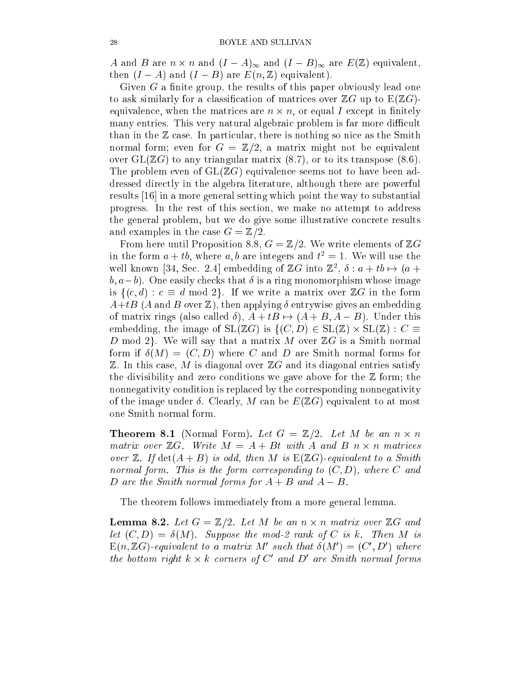A and B are not not in and  $\lambda = 1$  and  $\lambda = 1$  and  $\lambda = 1$  and  $\lambda = 1$  and  $\lambda = 1$  and  $\lambda = 1$ then  $(I - A)$  and  $(I - B)$  are  $E(n, \mathbb{Z})$  equivalent).

Given  $G$  a finite group, the results of this paper obviously lead one to ask similarly for a classification of matrices over  $\mathbb{Z}G$  up to  $E(\mathbb{Z}G)$ equivalence, when the matrices are not are not are not equal I except in the matrice, many entries. This very natural algebraic problem is far more difficult than in the  $\mathbb Z$  case. In particular, there is nothing so nice as the Smith normal form; even for  $G = \mathbb{Z}/2$ , a matrix might not be equivalent over  $GL(\mathbb{Z}G)$  to any triangular matrix  $(8.7)$ , or to its transpose  $(8.6)$ . The problem even of  $GL(\mathbb{Z}G)$  equivalence seems not to have been addressed directly in the algebra literature, although there are powerful results [16] in a more general setting which point the way to substantial progress. In the rest of this section, we make no attempt to address the general problem, but we do give some illustrative concrete results and examples in the case  $G=\mathbb{Z}/2$ .

From here until Proposition 8.8,  $G = \mathbb{Z}/2$ . We write elements of  $\mathbb{Z}G$ In the form  $a + i b$ , where  $a, b$  are integers and  $t^2 = 1$ . We will use the well known [34, Sec. 2.4] embedding of  $\mathbb{Z}G$  into  $\mathbb{Z}^7$ ,  $\sigma : a + i\sigma \mapsto (a +$  $b, a-b$ . One easily checks that  $\delta$  is a ring monomorphism whose image is  $\{(c,d): c \equiv d \mod 2\}$ . If we write a matrix over  $\mathbb{Z}G$  in the form  $A+tB$  (A and B over Z), then applying  $\delta$  entrywise gives an embedding of matrix rings (also called  $\delta$ ),  $A + tB \mapsto (A + B, A - B)$ . Under this embedding, the image of SL(ZG) is f(C; D) <sup>2</sup> SL(Z) - SL(Z) : C D mod 2. We will say that a matrix M over  $\mathbb{Z}G$  is a Smith normal form if  $\delta(M) = (C, D)$  where C and D are Smith normal forms for  $\mathbb Z$ . In this case, M is diagonal over  $\mathbb ZG$  and its diagonal entries satisfy the divisibility and zero conditions we gave above for the  $\mathbb Z$  form; the nonnegativity condition is replaced by the corresponding nonnegativity of the image under  $\delta$ . Clearly, M can be  $E(\mathbb{Z}G)$  equivalent to at most one Smith normal form.

Theorem 8.1 (Normal Form). Let G = Z=2. Let M be an n - n matrix over ZG. Write M = A + Bt with A and B n - n matrices over Z. If det(A + B) is odd, then M is E(ZG)-equivalent to <sup>a</sup> Smith normal form. This is the form corresponding to (C; D), where C and D are the Smith normal forms for  $A + B$  and  $A - B$ .

The theorem follows immediately from a more general lemma.

Lemma 8.2. Let G = Z=2. Let M be an n - n matrix over ZG and let  $\mathcal{C}$  . Suppose the model of  $\mathcal{C}$  rank of  $\mathcal{C}$  rank of  $\mathcal{C}$  rank of  $\mathcal{C}$  is k. Then  $M$  is k. Then  $M$  is k. Then  $M$  is k. Then  $M$  is k. Then  $M$  is k. Then  $M$  is k. Then  $M$  is k. Then  $M$  is k.  $\mathbb{E}(n,\mathbb{Z}(\mathsf{y})\text{-}equivalent$  to a matrix M such that  $\mathfrak{o}(M_\circ) \equiv (\mathsf{C}_\circ,D_\circ)$  where the bottom right  $\kappa \times \kappa$  corners of  $C$  and  $D$  are Smith normal forms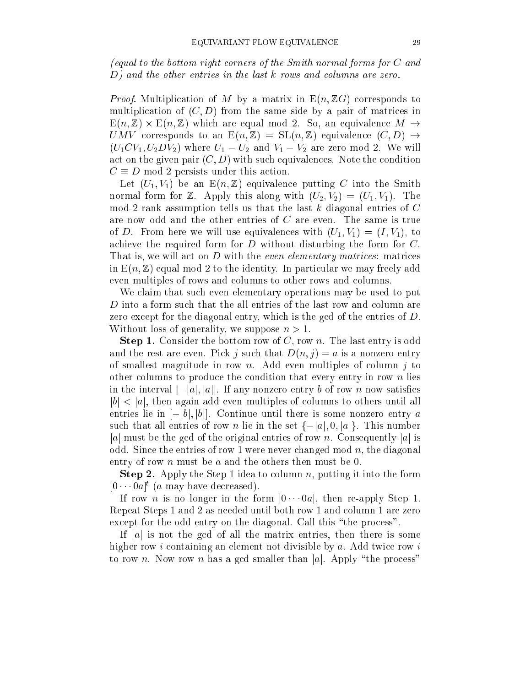(equal to the bottom right corners of the Smith normal forms for C and D) and the other entries in the last k rows and columns are zero.

Proof. Multiplication of M by a matrix in E(n; ZG) corresponds to multiplication of  $(C, D)$  from the same side by a pair of matrices in  $\equiv$   $\cdots$   $\equiv$   $\cdots$   $\equiv$   $\cdots$  . The equal model  $\equiv$   $\cdots$  . So, and  $\equiv$   $\cdots$  are equal  $\equiv$ UMV corresponds to an  $E(n,\mathbb{Z}) = SL(n,\mathbb{Z})$  equivalence  $(C,D) \rightarrow$  $(U_1CV_1, U_2DV_2)$  where  $U_1 - U_2$  and  $V_1 - V_2$  are zero mod 2. We will act on the given pair  $(C, D)$  with such equivalences. Note the condition  $C \equiv D \mod 2$  persists under this action.

Let  $(U_1, V_1)$  be an  $E(n, \mathbb{Z})$  equivalence putting C into the Smith normal form for Z. Apply this along with  $(U_2, V_2) = (U_1, V_1)$ . The mod-2 rank assumption tells us that the last  $k$  diagonal entries of  $C$ are now odd and the other entries of C are even. The same is true of D. From here we will use equivalences with  $(U_1, V_1) = (I, V_1)$ , to achieve the required form for D without disturbing the form for C. That is, we will act on D with the even elementary matrices: matrices in  $E(n, \mathbb{Z})$  equal mod 2 to the identity. In particular we may freely add even multiples of rows and columns to other rows and columns.

We claim that such even elementary operations may be used to put D into a form such that the all entries of the last row and column are zero except for the diagonal entry, which is the gcd of the entries of D. Without loss of generality, we suppose  $n > 1$ .

**Step 1.** Consider the bottom row of C, row n. The last entry is odd and the rest are even. Pick j such that  $D(n, j) = a$  is a nonzero entry of smallest magnitude in row n. Add even multiples of column  $j$  to other columns to produce the condition that every entry in row  $n$  lies in the interval  $[-|a|, |a|]$ . If any nonzero entry b of row n now satisfies  $|b|$  < |a|, then again add even multiples of columns to others until all entries lie in  $[-|b|, |b|]$ . Continue until there is some nonzero entry a such that all entries of row *n* lie in the set  $\{-|a|, 0, |a|\}$ . This number |a| must be the gcd of the original entries of row n. Consequently |a| is odd. Since the entries of row 1 were never changed mod  $n$ , the diagonal entry of row *n* must be *a* and the others then must be 0.

**Step 2.** Apply the Step 1 idea to column n, putting it into the form  $[0 \cdots 0]$  (a may have decreased).

If row *n* is no longer in the form  $[0 \cdots 0]$ , then re-apply Step 1. Repeat Steps 1 and 2 as needed until both row 1 and column 1 are zero except for the odd entry on the diagonal. Call this "the process".

If |a| is not the gcd of all the matrix entries, then there is some higher row i containing an element not divisible by  $a$ . Add twice row i to row n. Now row n has a gcd smaller than |a|. Apply "the process"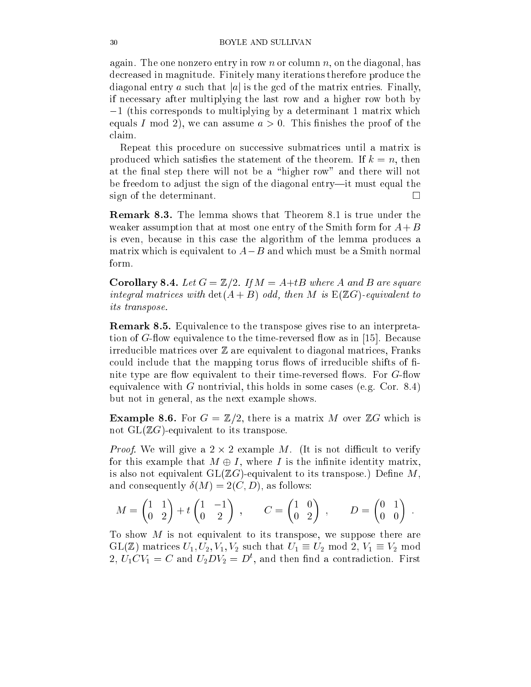again. The one nonzero entry in row n or column  $n$ , on the diagonal, has decreased in magnitude. Finitely many iterations therefore produce the diagonal entry a such that |a| is the gcd of the matrix entries. Finally, if necessary after multiplying the last row and a higher row both by  $-1$  (this corresponds to multiplying by a determinant 1 matrix which equals I mod 2), we can assume  $a > 0$ . This finishes the proof of the claim.

Repeat this procedure on successive submatrices until a matrix is produced which satisfies the statement of the theorem. If  $k = n$ , then at the final step there will not be a "higher row" and there will not be freedom to adjust the sign of the diagonal entry—it must equal the sign of the determinant.

Remark 8.3. The lemma shows that Theorem 8.1 is true under the weaker assumption that at most one entry of the Smith form for  $A + B$ is even, because in this case the algorithm of the lemma produces a matrix which is equivalent to  $A-B$  and which must be a Smith normal form.

**Corollary 8.4.** Let  $G = \mathbb{Z}/2$ . If  $M = A + tB$  where A and B are square integral matrices with det(A + B) odd, then M is E(ZG)-equivalent to its transpose.

Remark 8.5. Equivalence to the transpose gives rise to an interpretation of  $G$ -flow equivalence to the time-reversed flow as in [15]. Because irreducible matrices over  $\mathbb Z$  are equivalent to diagonal matrices, Franks could include that the mapping torus flows of irreducible shifts of finite type are flow equivalent to their time-reversed flows. For  $G$ -flow equivalence with G nontrivial, this holds in some cases (e.g. Cor. 8.4) but not in general, as the next example shows.

**Example 8.6.** For  $G = \mathbb{Z}/2$ , there is a matrix M over  $\mathbb{Z}G$  which is not  $GL(\mathbb{Z}G)$ -equivalent to its transpose.

Proof. We will give a 2 - 2 example M. (It is not dicult to verify for this example that  $M \oplus I$ , where I is the infinite identity matrix, is also not equivalent  $GL(\mathbb{Z} G)$ -equivalent to its transpose.) Define M, and consequently  $\delta(M) = 2(C, D)$ , as follows:

$$
M = \begin{pmatrix} 1 & 1 \\ 0 & 2 \end{pmatrix} + t \begin{pmatrix} 1 & -1 \\ 0 & 2 \end{pmatrix} , \qquad C = \begin{pmatrix} 1 & 0 \\ 0 & 2 \end{pmatrix} , \qquad D = \begin{pmatrix} 0 & 1 \\ 0 & 0 \end{pmatrix} .
$$

To show M is not equivalent to its transpose, we suppose there are  $GL(\mathbb{Z})$  matrices  $U_1, U_2, V_1, V_2$  such that  $U_1 \equiv U_2 \mod 2$ ,  $V_1 \equiv V_2 \mod 2$ 2,  $U_1 \cup V_1 = U$  and  $U_2 \cup V_2 = D$ , and then find a contradiction. First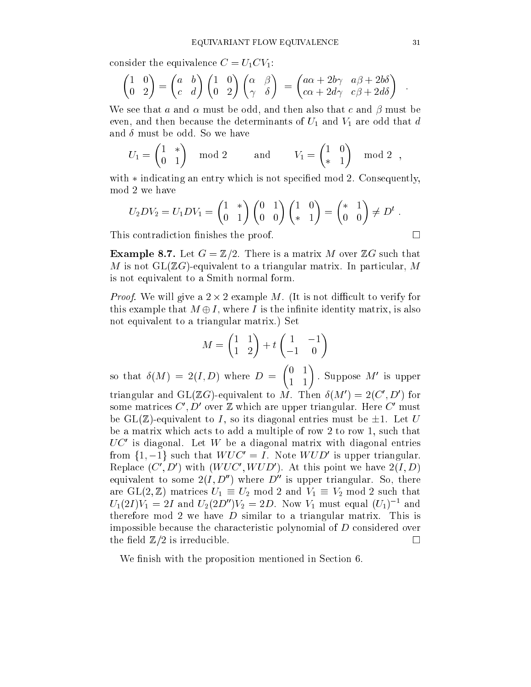consider the equivalence  $C = U_1CV_1$ :

$$
\begin{pmatrix} 1 & 0 \ 0 & 2 \end{pmatrix} = \begin{pmatrix} a & b \ c & d \end{pmatrix} \begin{pmatrix} 1 & 0 \ 0 & 2 \end{pmatrix} \begin{pmatrix} \alpha & \beta \ \gamma & \delta \end{pmatrix} = \begin{pmatrix} a\alpha + 2b\gamma & a\beta + 2b\delta \\ c\alpha + 2d\gamma & c\beta + 2d\delta \end{pmatrix}
$$

We see that a and  $\alpha$  must be odd, and then also that c and  $\beta$  must be even, and then because the determinants of  $U_1$  and  $V_1$  are odd that d and  $\delta$  must be odd. So we have

$$
U_1 = \begin{pmatrix} 1 & * \\ 0 & 1 \end{pmatrix} \mod 2 \quad \text{and} \quad V_1 = \begin{pmatrix} 1 & 0 \\ * & 1 \end{pmatrix} \mod 2 ,
$$

with  $*$  indicating an entry which is not specified mod 2. Consequently, mod 2 we have

$$
U_2DV_2=U_1DV_1=\begin{pmatrix}1&*\\0&1\end{pmatrix}\begin{pmatrix}0&1\\0&0\end{pmatrix}\begin{pmatrix}1&0\\*&1\end{pmatrix}=\begin{pmatrix}*&1\\0&0\end{pmatrix}\neq D^t.
$$

This contradiction finishes the proof.

**Example 8.7.** Let  $G = \mathbb{Z}/2$ . There is a matrix M over  $\mathbb{Z}G$  such that M is not  $GL(\mathbb{Z} G)$ -equivalent to a triangular matrix. In particular, M is not equivalent to a Smith normal form.

Proof. We will give a 2 - 2 example M. (It is not dicult to verify for this example that  $M \oplus I$ , where I is the infinite identity matrix, is also not equivalent to a triangular matrix.) Set

$$
M = \begin{pmatrix} 1 & 1 \\ 1 & 2 \end{pmatrix} + t \begin{pmatrix} 1 & -1 \\ -1 & 0 \end{pmatrix}
$$

so that (M)  $\sim$  2(I  $\sim$  2(I  $\sim$  2(I  $\sim$  2(I  $\sim$  2(I  $\sim$  2) where D  $\sim$  2(I  $\sim$  2)  $\sim$  2(I  $\sim$  2)  $\sim$  2(I  $\sim$  2)  $\sim$  2(I  $\sim$  2)  $\sim$  2(I  $\sim$  2)  $\sim$  2(I  $\sim$  2)  $\sim$  2(I  $\sim$  2)  $\sim$  2(I  $\sim$  2)  $\sim$  2(I  $\sim$  $\overline{\phantom{a}}$  . Suppose *m* is upper triangular and GL( $\mathcal{L}G$ )-equivalent to M. Then  $\sigma(M_-) = Z(C_-, D_-)$  for some matrices  $\cup$  ,  $D$  over  $\mathbb Z$  which are upper triangular. Here  $\cup$  must be GL( $\mathbb{Z}$ )-equivalent to I, so its diagonal entries must be  $\pm 1$ . Let U be a matrix which acts to add a multiple of row 2 to row 1, such that  $\sigma$ UC is diagonal. Let  $W$  be a diagonal matrix with diagonal entries from  $\{1, -1\}$  such that W  $\cup$   $\cup$  = I. Note W  $\cup$  D is upper triangular. Replace (C, D) with (W UC, W UD). At this point we have  $2(I, D)$ equivalent to some  $2(I, D'')$  where  $D''$  is upper triangular. So, there are GL(2,  $\mathbb{Z}$ ) matrices  $U_1 \equiv U_2 \mod 2$  and  $V_1 \equiv V_2 \mod 2$  such that  $U_1(ZI)V_1 = ZI$  and  $U_2(ZD/V_2 = ZD)$ . Now  $V_1$  must equal  $(U_1)^{-1}$  and therefore mod 2 we have  $D$  similar to a triangular matrix. This is impossible because the characteristic polynomial of D considered over the field  $\mathbb{Z}/2$  is irreducible.

We finish with the proposition mentioned in Section 6.

$$
\qquad \qquad \Box
$$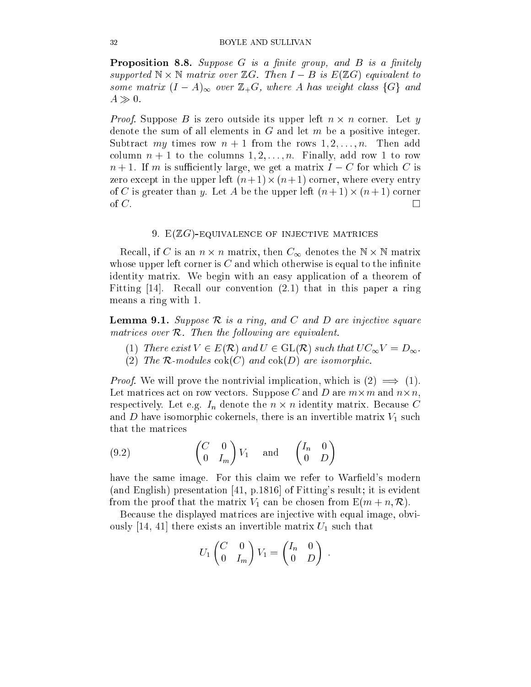**Proposition 8.8.** Suppose  $G$  is a finite group, and  $B$  is a finitely supported <sup>N</sup> - <sup>N</sup> matrix over ZG. Then I B is E(ZG) equivalent to some matrix (I  $\sim$  1 over  $\sim$  1 over  $\sim$  1 over  $\sim$  1 over  $\sim$  1 over  $\sim$  1 over  $\sim$  $A \gg 0$ .

Proof. Suppose B is zero outside its upper left n - n corner. Let y denote the sum of all elements in  $G$  and let  $m$  be a positive integer. Subtract my times row  $n + 1$  from the rows  $1, 2, \ldots, n$ . Then add column  $n + 1$  to the columns  $1, 2, \ldots, n$ . Finally, add row 1 to row  $n+1$ . If m is sufficiently large, we get a matrix  $I - C$  for which C is zero except in the upper left (n + 1) - (n + 1) corner, where every entry of C is greater than y. Let A be the upper left (n + 1) - (n + 1) corner  $\Box$ 

#### 9.  $E(ZG)$ -EQUIVALENCE OF INJECTIVE MATRICES

Recall, if C is an n - <sup>n</sup> matrix, then C1 denotes the <sup>N</sup> - <sup>N</sup> matrix whose upper left corner is  $C$  and which otherwise is equal to the infinite identity matrix. We begin with an easy application of a theorem of Fitting  $|14|$ . Recall our convention  $(2.1)$  that in this paper a ring means a ring with 1.

**Lemma 9.1.** Suppose  $\mathcal{R}$  is a ring, and  $C$  and  $D$  are injective square matrices over R. Then the fol lowing are equivalent.

- (1) There exist  $V \in E(\mathcal{R})$  and  $U \in GL(\mathcal{R})$  such that  $UC_{\infty}V = D_{\infty}$ .
- (2) The R-modules  $\operatorname{cok}(C)$  and  $\operatorname{cok}(D)$  are isomorphic.

Proof. We will prove the nontrivial implication, which is (2) =) (1). Let matrices act on row vectors. Suppose C and D are m-m and n-n, respectively. Let  $\Omega$  if the n identity matrix matrix. Because Constantinople in the n interval matrix. Because C and D have isomorphic cokernels, there is an invertible matrix  $V_1$  such that the matrices

(9.2) 
$$
\begin{pmatrix} C & 0 \ 0 & I_m \end{pmatrix} V_1 \text{ and } \begin{pmatrix} I_n & 0 \ 0 & D \end{pmatrix}
$$

have the same image. For this claim we refer to Warfield's modern (and English) presentation [41, p.1816] of Fitting's result; it is evident from the proof that the matrix  $V_1$  can be chosen from  $E(m + n, \mathcal{R})$ .

Because the displayed matrices are injective with equal image, obviously [14, 41] there exists an invertible matrix  $U_1$  such that

$$
U_1 \begin{pmatrix} C & 0 \\ 0 & I_m \end{pmatrix} V_1 = \begin{pmatrix} I_n & 0 \\ 0 & D \end{pmatrix}
$$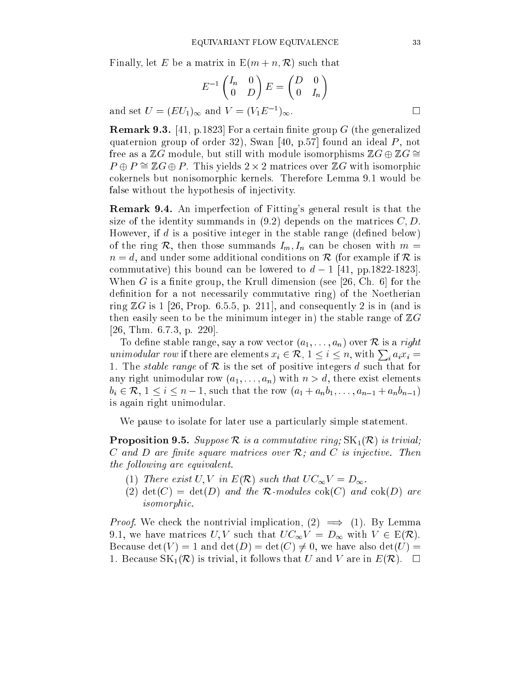Finally, let E be a matrix in  $E(m + n, \mathcal{R})$  such that

$$
E^{-1}\begin{pmatrix} I_n & 0\\ 0 & D \end{pmatrix} E = \begin{pmatrix} D & 0\\ 0 & I_n \end{pmatrix}
$$

and set  $U = (EU_1)_{\infty}$  and  $V = (V_1E^{-1})_{\infty}$ .  $\sim$ 

**Remark 9.3.** [41, p.1823] For a certain finite group  $G$  (the generalized quaternion group of order 32), Swan [40, p.57] found an ideal  $P$ , not free as a  $\mathbb{Z}G$  module, but still with module isomorphisms  $\mathbb{Z}G \oplus \mathbb{Z}G \cong$  $P \cup P = \mathbb{Z}$ G $\oplus$  . This yields  $2 \times 2$  matrices over  $\mathbb{Z}$ G with isomorphic cokernels but nonisomorphic kernels. Therefore Lemma 9.1 would be false without the hypothesis of injectivity.

Remark 9.4. An imperfection of Fitting's general result is that the size of the identity summands in  $(9.2)$  depends on the matrices  $C, D$ . However, if  $d$  is a positive integer in the stable range (defined below) of the ring R, then those summands  $I_m$ ,  $I_n$  can be chosen with  $m =$  $n = d$ , and under some additional conditions on R (for example if R is commutative) this bound can be lowered to  $d-1$  [41, pp.1822-1823]. When G is a finite group, the Krull dimension (see [26, Ch. 6] for the definition for a not necessarily commutative ring) of the Noetherian ring  $\mathbb{Z}G$  is 1 [26, Prop. 6.5.5, p. 211], and consequently 2 is in (and is then easily seen to be the minimum integer in) the stable range of  $\mathbb{Z}G$ [26, Thm. 6.7.3, p. 220].

To define stable range, say a row vector  $(a_1, \ldots, a_n)$  over  ${\cal R}$  is a right unimodular row if there are elements  $x_i \in \mathcal{R}, 1 \leq i \leq n$ , with  $\sum_i a_i x_i =$ 1. The *stable range* of  $R$  is the set of positive integers d such that for any right unimodular row  $(a_1, \ldots, a_n)$  with  $n > d$ , there exist elements  $b_i \in \mathcal{R}, 1 \leq i \leq n-1$ , such that the row  $(a_1 + a_n b_1, \ldots, a_{n-1} + a_n b_{n-1})$ is again right unimodular.

We pause to isolate for later use a particularly simple statement.

**Proposition 9.5.** Suppose  $\mathcal{R}$  is a commutative ring;  $SK_1(\mathcal{R})$  is trivial;  $C$  and  $D$  are finite square matrices over  $\mathcal{R}$ ; and  $C$  is injective. Then the following are equivalent. The following are equivalent to the following are equivalent. The following are

- (1) There exist U, V in  $E(\mathcal{R})$  such that  $UC_{\infty}V = D_{\infty}$ .
- (2)  $\det(C) = \det(D)$  and the R-modules  $\operatorname{cok}(C)$  and  $\operatorname{cok}(D)$  are isomorphic.

Proof. We check the nontrivial implication, (2) =) (1). By Lemma 9.1, we have matrices U, V such that  $UC_{\infty}V = D_{\infty}$  with  $V \in E(\mathcal{R})$ . Because  $\det(V) = 1$  and  $\det(D) = \det(C) \neq 0$ , we have also  $\det(U) =$ 1. Because  $SK_1(\mathcal{R})$  is trivial, it follows that U and V are in  $E(\mathcal{R})$ .  $\Box$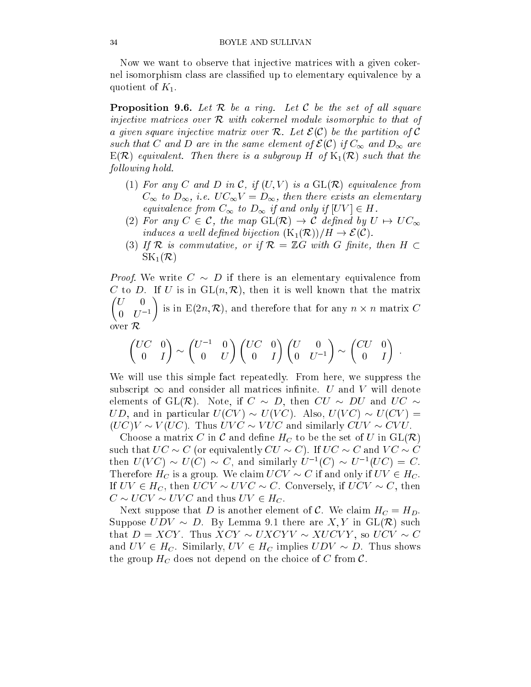Now we want to observe that injective matrices with a given cokernel isomorphism class are classified up to elementary equivalence by a quotient of  $K_1$ .

**Proposition 9.6.** Let  $\mathcal{R}$  be a ring. Let  $\mathcal{C}$  be the set of all square injective matrices over <sup>R</sup> with cokernel module isomorphic to that of a given square injective matrix over R. Let <sup>E</sup> (C) be the partition of <sup>C</sup> such that C and D are in the same element of E (E) if  $\infty$  and D1 are  $\infty$  $E(\mathcal{R})$  equivalent. Then there is a subgroup H of  $K_1(\mathcal{R})$  such that the fol lowing hold.

- (1) For any C and D in C, if  $(U, V)$  is a  $GL(R)$  equivalence from  $C_{\infty}$  to  $D_{\infty}$ , i.e.  $UC_{\infty}V = D_{\infty}$ , then there exists an elementary equivalence from  $\mathcal{L}(\lambda)$  to  $\mathcal{L}(\lambda)$  if and only if  $\mathcal{L}(\lambda)$  if  $\mathcal{L}(\lambda)$
- (2) For any  $C \in \mathcal{C}$ , the map  $GL(\mathcal{R}) \to \mathcal{C}$  defined by  $U \mapsto UC_{\infty}$ induces <sup>a</sup> wel l dened bijection (K1(R))=H ! <sup>E</sup> (C).
- (3) If R is commutative, or if  $\mathcal{R} = \mathbb{Z}G$  with G finite, then  $H \subset$  $SK_1(\mathcal{R})$

Proof. We write C D if there is an elementary equivalence from C to D. If U is in  $GL(n,\mathcal{R})$ , then it is well known that the matrix  $\overline{\phantom{a}}$  is in  $\mathbb{R}^n$  and  $\mathbb{R}^n$  and therefore therefore the form  $\mathbb{R}^n$  and  $\mathbb{R}^n$ 0 U T over  $\mathcal{R}$ 

$$
\begin{pmatrix} UC & 0 \ 0 & I \end{pmatrix} \sim \begin{pmatrix} U^{-1} & 0 \ 0 & U \end{pmatrix} \begin{pmatrix} UC & 0 \ 0 & I \end{pmatrix} \begin{pmatrix} U & 0 \ 0 & U^{-1} \end{pmatrix} \sim \begin{pmatrix}CU & 0 \ 0 & I \end{pmatrix}.
$$

We will use this simple fact repeatedly. From here, we suppress the subscript  $\infty$  and consider all matrices infinite. U and V will denote elements of GL(R). Note, if  $C \sim D$ , then  $CU \sim DU$  and  $UC \sim$ UD, and in particular  $U(CV) \sim U(VC)$ . Also,  $U(VC) \sim U(CV) =$  $(UC)V \sim V(UC)$ . Thus  $UVC \sim VUC$  and similarly  $CUV \sim CVU$ .

Choose a matrix C in C and define  $H_C$  to be the set of U in  $GL(\mathcal{R})$ such that  $UC \sim C$  (or equivalently  $CU \sim C$ ). If  $UC \sim C$  and  $VC \sim C$ then  $U(VU) \approx U(U) \approx U$ , and similarly  $U^{-1}(U) \approx U^{-1}(UU) \equiv U$ . Therefore  $H_C$  is a group. We claim  $UCV \sim C$  if and only if  $UV \in H_C$ . If  $UV \in H_C$ , then  $UCV \sim UVC \sim C$ . Conversely, if  $UCV \sim C$ , then  $C \sim UCV \sim UVC$  and thus  $UV \in H_C$ .

Next suppose that D is another element of C. We claim  $H_C = H_D$ . Suppose  $UDV \sim D$ . By Lemma 9.1 there are  $X, Y$  in  $GL(\mathcal{R})$  such that  $D = XCY$ . Thus  $XCY \sim UXCYV \sim XUCYY$ , so  $UCV \sim C$ and  $UV \in H_C$ . Similarly,  $UV \in H_C$  implies  $UDV \sim D$ . Thus shows the group  $H_C$  does not depend on the choice of C from C.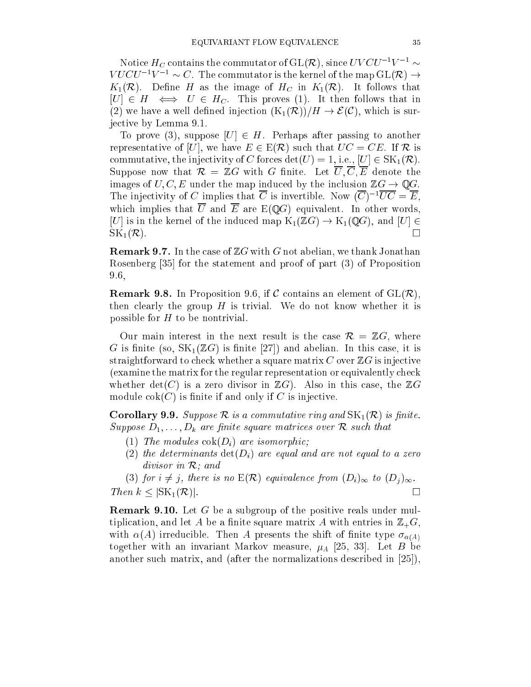Notice  $H_C$  comains the commutator of GL( $\kappa$ ), since  $UV$   $\subset$   $U=V_1$  $V U U U^{-1} V^{-1} \simeq U$ . The commutator is the kernel of the map GL(R)  $\rightarrow$  $K_1(\mathcal{R})$ . Define H as the image of  $H_C$  in  $K_1(\mathcal{R})$ . It follows that  $[U] \in H \iff U \in H_C$ . This proves (1). It then follows that in (2) we have a well defined injection  $(K_1(\mathcal{R}))/H \to \mathcal{E}(\mathcal{C})$ , which is surjective by Lemma 9.1.

To prove (3), suppose  $[U] \in H$ . Perhaps after passing to another representative of [U], we have  $E \in E(\mathcal{R})$  such that  $UC = CE$ . If  $\mathcal{R}$  is commutative, the injectivity of C forces  $det(U) = 1$ , i.e.,  $[U] \in SK_1(\mathcal{R})$ . Suppose now that  $\mathcal{R} = \mathbb{Z}G$  with G finite. Let  $\overline{U}, \overline{C}, \overline{E}$  denote the images of  $U, C, E$  under the map induced by the inclusion  $\mathbb{Z}G \to \mathbb{Q}G$ . The injectivity of C implies that C is invertible. Now  $(C)$   $\forall C \equiv E$ , which implies that  $\overline{U}$  and  $\overline{E}$  are  $E(QG)$  equivalent. In other words, [U] is in the kernel of the induced map  $K_1(\mathbb{Z}G) \to K_1(\mathbb{Q}G)$ , and  $[U] \in$  $SK_1(\mathcal{R})$ .  $\Box$ 

**Remark 9.7.** In the case of  $\mathbb{Z}G$  with G not abelian, we thank Jonathan Rosenberg [35] for the statement and proof of part (3) of Proposition 9.6,

**Remark 9.8.** In Proposition 9.6, if C contains an element of  $GL(\mathcal{R})$ , then clearly the group  $H$  is trivial. We do not know whether it is possible for  $H$  to be nontrivial.

Our main interest in the next result is the case  $\mathcal{R} = \mathbb{Z}G$ , where G is finite (so,  $SK_1(\mathbb{Z}G)$  is finite [27]) and abelian. In this case, it is straightforward to check whether a square matrix  $C$  over  $\mathbb{Z}G$  is injective (examine the matrix for the regular representation or equivalently check whether  $\det(C)$  is a zero divisor in  $\mathbb{Z}G$ . Also in this case, the  $\mathbb{Z}G$ module  $\operatorname{cok}(C)$  is finite if and only if C is injective.

**Corollary 9.9.** Suppose  $\mathcal R$  is a commutative ring and  $SK_1(\mathcal R)$  is finite.  $S$  suppose  $\alpha$  is the property of  $\alpha$  are matrices over  $\alpha$  and  $\alpha$  is that the such that the such that the such that  $\alpha$ 

- (1) The modules  $\operatorname{cok}(D_i)$  are isomorphic;
- (2) the determinants  $\det(D_i)$  are equal and are not equal to a zero divisor in R; and in R; and in R; and in R; and in R; and in R; and in R; and in R; and in R; and in R; and in

(3) for  $i \neq j$ , there is no  $E(\mathcal{R})$  equivalence from  $(D_i)_{\infty}$  to  $(D_j)_{\infty}$ .  $\Box$ The state of the state of the state of the state of the state of the state of the state of the state of the state of the state of the state of the state of the state of the state of the state of the state of the state of t

**Remark 9.10.** Let G be a subgroup of the positive reals under multiplication, and let A be a finite square matrix A with entries in  $\mathbb{Z}_+G$ , with  $\alpha(A)$  irreducible. Then A presents the shift of finite type  $\sigma_{\alpha(A)}$ together with an invariant Markov measure,  $\mu_A$  [25, 33]. Let B be another such matrix, and (after the normalizations described in [25]),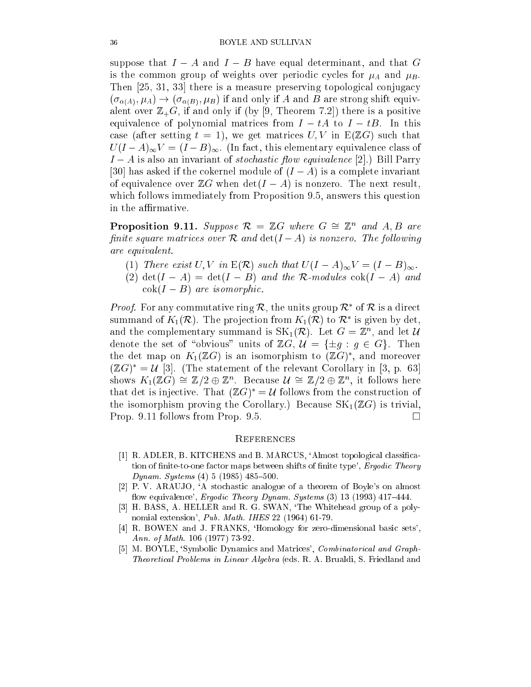suppose that  $I - A$  and  $I - B$  have equal determinant, and that G is the common group of weights over periodic cycles for  $\mu_A$  and  $\mu_B$ . Then [25, 31, 33] there is a measure preserving topological conjugacy  $(\sigma_{\alpha(A)}, \mu_A) \rightarrow (\sigma_{\alpha(B)}, \mu_B)$  if and only if A and B are strong shift equivalent over  $\mathbb{Z}_+G$ , if and only if (by [9, Theorem 7.2]) there is a positive equivalence of polynomial matrices from  $I - tA$  to  $I - tB$ . In this case (after setting  $t = 1$ ), we get matrices  $U, V$  in  $E(\mathbb{Z}G)$  such that  $U(I-A)_{\infty}V=(I-B)_{\infty}$ . (In fact, this elementary equivalence class of  $I - A$  is also an invariant of *stochastic flow equivalence* [2].) Bill Parry [30] has asked if the cokernel module of  $(I - A)$  is a complete invariant of equivalence over  $\mathbb{Z}G$  when  $\det(I - A)$  is nonzero. The next result, which follows immediately from Proposition 9.5, answers this question in the affirmative.

**Proposition 9.11.** Suppose  $\kappa = \mathbb{Z}$ G where  $G = \mathbb{Z}$  and  $A, D$  are nite square matrices over <sup>R</sup> and det(I A) is nonzero. The fol lowing are equivalent.

- (1) There exist  $U, V$  in  $E(\mathcal{R})$  such that  $U(I A)_{\infty}V = (I B)_{\infty}$ .
- (2)  $\det(I A) = \det(I B)$  and the R-modules  $\operatorname{cok}(I A)$  and  $\operatorname{cok}(I - B)$  are isomorphic.

*Proof.* For any commutative ring  $\kappa$ , the units group  $\kappa$  of  $\kappa$  is a direct summand of  $K_1(\mathcal{K})$ . The projection from  $K_1(\mathcal{K})$  to  $\mathcal{K}$  is given by det, and the complementary summand is  $\text{SN}_1(\kappa)$ . Let  $G = \mathbb{Z}^n$ , and let  $\mathcal{U}$ denote the set of "obvious" units of  $\mathbb{Z}G, \mathcal{U} = {\pm q : q \in G}.$  Then the det map on  $K_1(\mathbb{Z}G)$  is an isomorphism to  $(\mathbb{Z}G)$  , and moreover  $(\mathbb{Z}G) \equiv \mathcal{U}$  [3]. (The statement of the relevant Corollary in [3, p. 63] shows  $K_1(\mathbb{Z}G) = \mathbb{Z}/2 \oplus \mathbb{Z}^n$ . Decause  $\mathcal{U} = \mathbb{Z}/2 \oplus \mathbb{Z}^n$ , it follows here that det is injective. That  $(ZG) = U$  follows from the construction of the isomorphism proving the Corollary.) Because  $SK_1(\mathbb{Z}G)$  is trivial, Prop. 9.11 follows from Prop. 9.5.  $\Box$ 

#### **REFERENCES**

- [1] R. ADLER, B. KITCHENS and B. MARCUS, `Almost topological classication of finite-to-one factor maps between shifts of finite type', Ergodic Theory Dynam. Systems  $(4)$  5  $(1985)$  485-500.
- [2] P. V. ARAUJO, `A stochastic analogue of a theorem of Boyle's on almost flow equivalence', Ergodic Theory Dynam. Systems  $(3)$  13 (1993) 417-444.
- [3] H. BASS, A. HELLER and R. G. SWAN, `The Whitehead group of a polynomial extension', Pub. Math. IHES 22 (1964) 61-79.
- [4] R. BOWEN and J. FRANKS, 'Homology for zero-dimensional basic sets', Ann. of Math. 106 (1977) 73-92.
- [5] M. BOYLE, 'Symbolic Dynamics and Matrices', *Combinatorical and Graph*-Theoretical Problems in Linear Algebra (eds. R. A. Brualdi, S. Friedland and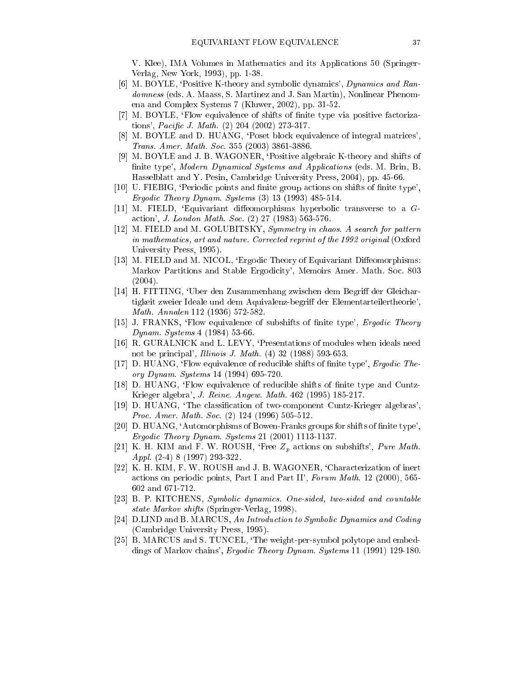V. Klee), IMA Volumes in Mathematics and its Applications 50 (Springer-Verlag, New York, 1993), pp. 1-38.

- [6] M. BOYLE, `Positive K-theory and symbolic dynamics', Dynamics and Randomness (eds. A. Maass, S. Martinez and J. San Martin), Nonlinear Phenomena and Complex Systems 7 (Kluwer, 2002), pp. 31-52.
- [7] M. BOYLE, 'Flow equivalence of shifts of finite type via positive factorizations', *Pacific J. Math.*  $(2)$  204  $(2002)$  273-317.
- [8] M. BOYLE and D. HUANG, 'Poset block equivalence of integral matrices', Trans. Amer. Math. Soc. 355 (2003) 3861-3886.
- [9] M. BOYLE and J. B. WAGONER, `Positive algebraic K-theory and shifts of finite type', Modern Dynamical Systems and Applications (eds. M. Brin, B. Hasselblatt and Y. Pesin, Cambridge University Press, 2004), pp. 45-66.
- [10] U. FIEBIG, 'Periodic points and finite group actions on shifts of finite type', Ergodic Theory Dynam. Systems (3) 13 (1993) 485-514.
- $[11]$  M. FIELD, 'Equivariant diffeomorphisms hyperbolic transverse to a  $G$ action', J. London Math. Soc. (2) 27 (1983) 563-576.
- [12] M. FIELD and M. GOLUBITSKY, Symmetry in chaos. A search for pattern in mathematics, art and nature. Corrected reprint of the 1992 original (Oxford University Press, 1995).
- [13] M. FIELD and M. NICOL, 'Ergodic Theory of Equivariant Diffeomorphisms: Markov Partitions and Stable Ergodicity', Memoirs Amer. Math. Soc. 803 (2004).
- [14] H. FITTING, 'Uber den Zusammenhang zwischen dem Begriff der Gleichartigkeit zweier Ideale und dem Aquivalenz-begriff der Elementarteilertheorie', Math. Annalen 112 (1936) 572-582.
- [15] J. FRANKS, 'Flow equivalence of subshifts of finite type', *Ergodic Theory* Dynam. Systems 4 (1984) 53-66.
- [16] R. GURALNICK and L. LEVY, `Presentations of modules when ideals need not be principal', *Illinois J. Math.* (4) 32 (1988) 593-653.
- [17] D. HUANG, 'Flow equivalence of reducible shifts of finite type', *Ergodic The*ory Dynam. Systems 14 (1994) 695-720.
- [18] D. HUANG, 'Flow equivalence of reducible shifts of finite type and Cuntz-Krieger algebra', J. Reine. Angew. Math. 462 (1995) 185-217.
- [19] D. HUANG, `The classication of two-component Cuntz-Krieger algebras', Proc. Amer. Math. Soc. (2) 124 (1996) 505-512.
- [20] D. HUANG, 'Automorphisms of Bowen-Franks groups for shifts of finite type', Ergodic Theory Dynam. Systems 21 (2001) 1113-1137.
- [21] K. H. KIM and F. W. ROUSH, 'Free  $Z_p$  actions on subshifts', Pure Math. Appl. (2-4) 8 (1997) 293-322.
- [22] K. H. KIM, F. W. ROUSH and J. B. WAGONER, `Characterization of inert actions on periodic points, Part I and Part II', Forum Math. 12 (2000), 565- 602 and 671-712.
- [23] B. P. KITCHENS, Symbolic dynamics. One-sided, two-sided and countable state Markov shifts (Springer-Verlag, 1998).
- [24] D.LIND and B. MARCUS, An Introduction to Symbolic Dynamics and Coding (Cambridge University Press, 1995).
- [25] B. MARCUS and S. TUNCEL, `The weight-per-symbol polytope and embeddings of Markov chains', Ergodic Theory Dynam. Systems 11 (1991) 129-180.